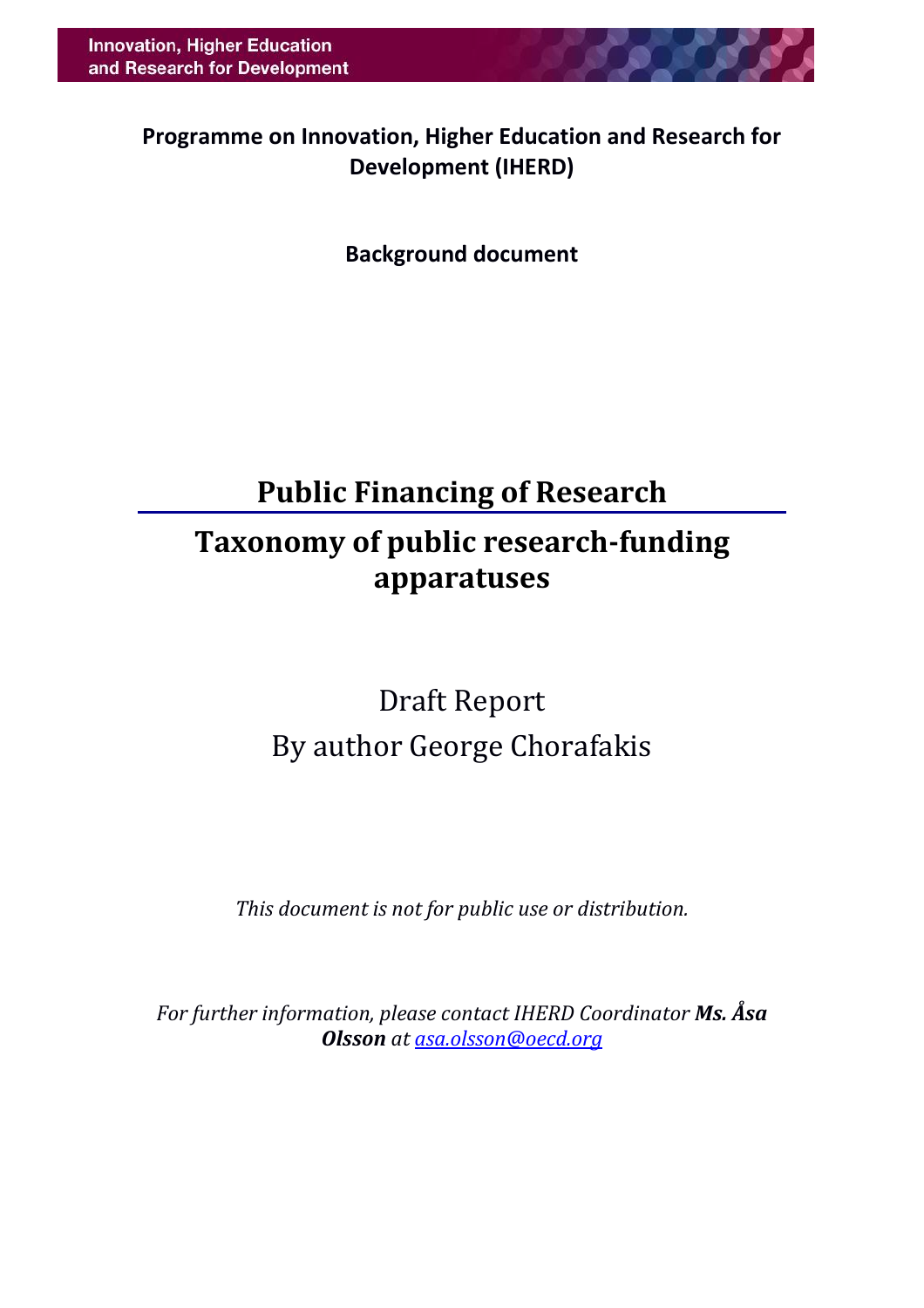**Programme on Innovation, Higher Education and Research for Development (IHERD)**

**Background document**

## **Public Financing of Research**

## **Taxonomy of public research-funding apparatuses**

# Draft Report By author George Chorafakis

*This document is not for public use or distribution.*

*For further information, please contact IHERD Coordinator Ms. Åsa Olsson at [asa.olsson@oecd.org](mailto:asa.olsson@oecd.org)*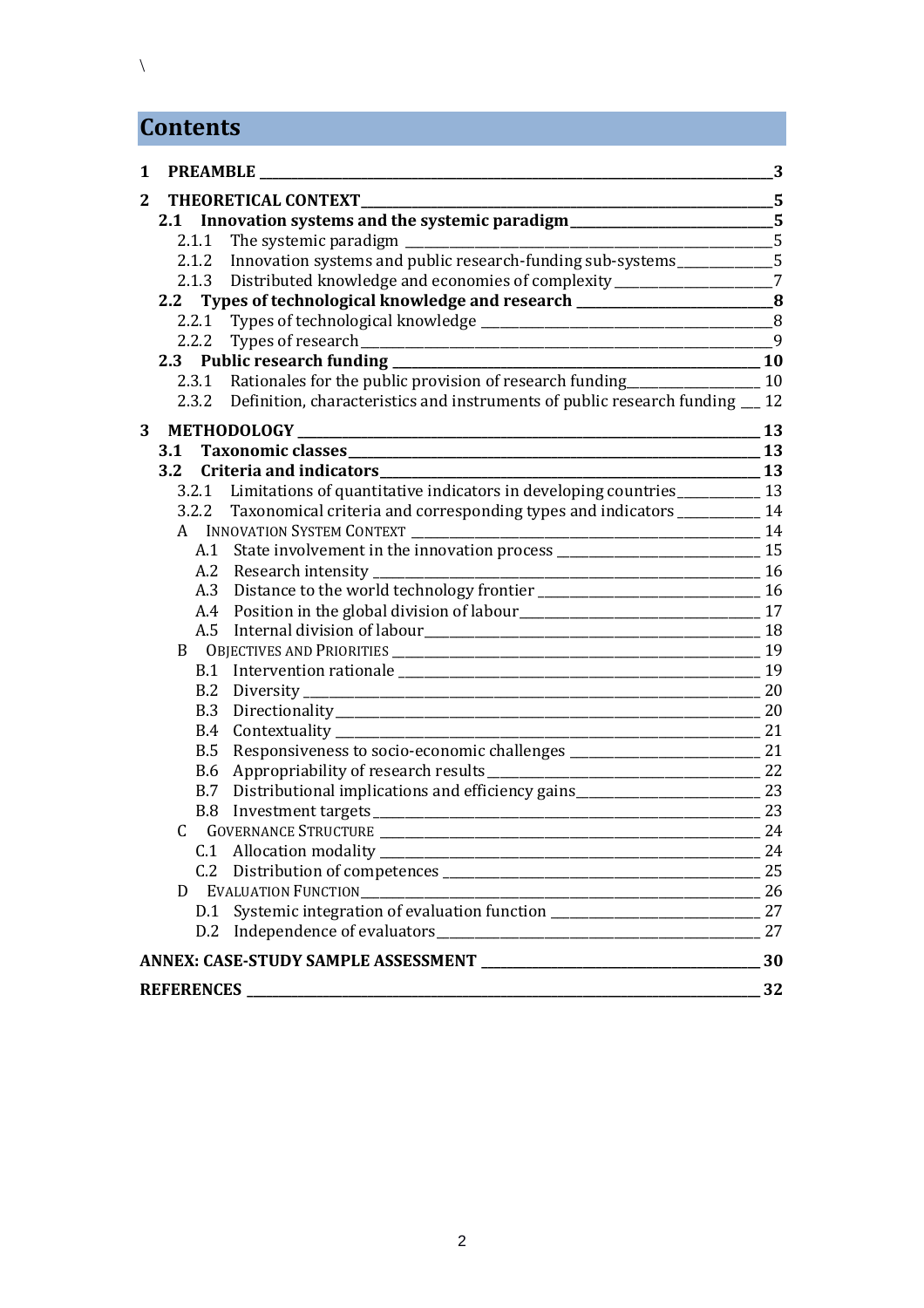## **Contents**

| $\mathbf{1}$   |            | <b>PREAMBLE</b>                                                                      | 3         |
|----------------|------------|--------------------------------------------------------------------------------------|-----------|
| $\overline{2}$ |            | THEORETICAL CONTEXT                                                                  |           |
|                |            | 2.1 Innovation systems and the systemic paradigm________________________________5    |           |
|                |            |                                                                                      | 5         |
|                |            | 2.1.2 Innovation systems and public research-funding sub-systems__________5          |           |
|                |            | 2.1.3 Distributed knowledge and economies of complexity___________________7          |           |
|                | 2.2        | Types of technological knowledge and research __________________________________8    |           |
|                | 2.2.1      |                                                                                      |           |
|                |            |                                                                                      |           |
|                |            |                                                                                      |           |
|                |            | 2.3.1 Rationales for the public provision of research funding                        | 10        |
|                |            | 2.3.2 Definition, characteristics and instruments of public research funding __ 12   |           |
| 3              |            |                                                                                      | <b>13</b> |
|                | 3.1        |                                                                                      | $\_13$    |
|                | 3.2        | Criteria and indicators<br><u>Criteria</u> and indicators<br>$\sim$ 13               |           |
|                |            | 3.2.1 Limitations of quantitative indicators in developing countries ___________ 13  |           |
|                |            | 3.2.2 Taxonomical criteria and corresponding types and indicators _________ 14       |           |
|                |            |                                                                                      | 14        |
|                |            | A.1 State involvement in the innovation process _________________________________ 15 |           |
|                |            | A.2 Research intensity                                                               |           |
|                |            | A.3 Distance to the world technology frontier ___________________________________ 16 |           |
|                |            |                                                                                      |           |
|                |            |                                                                                      |           |
|                | B          |                                                                                      |           |
|                |            |                                                                                      | 19        |
|                | B.2        |                                                                                      | 20        |
|                | B.3        |                                                                                      |           |
|                | <b>B.4</b> |                                                                                      |           |
|                | B.5        |                                                                                      |           |
|                |            |                                                                                      |           |
|                |            | B.7 Distributional implications and efficiency gains ___________________________ 23  |           |
|                |            |                                                                                      | 23        |
|                | C          | GOVERNANCE STRUCTURE LATER AND THE RESIDENCE OF A 24                                 |           |
|                |            | C.1 Allocation modality                                                              | 24        |
|                |            |                                                                                      | 25        |
|                | D          | <b>EVALUATION FUNCTION</b>                                                           |           |
|                | D.1        |                                                                                      | 27        |
|                |            |                                                                                      | 27        |
|                |            |                                                                                      | 30        |
|                |            |                                                                                      | 32        |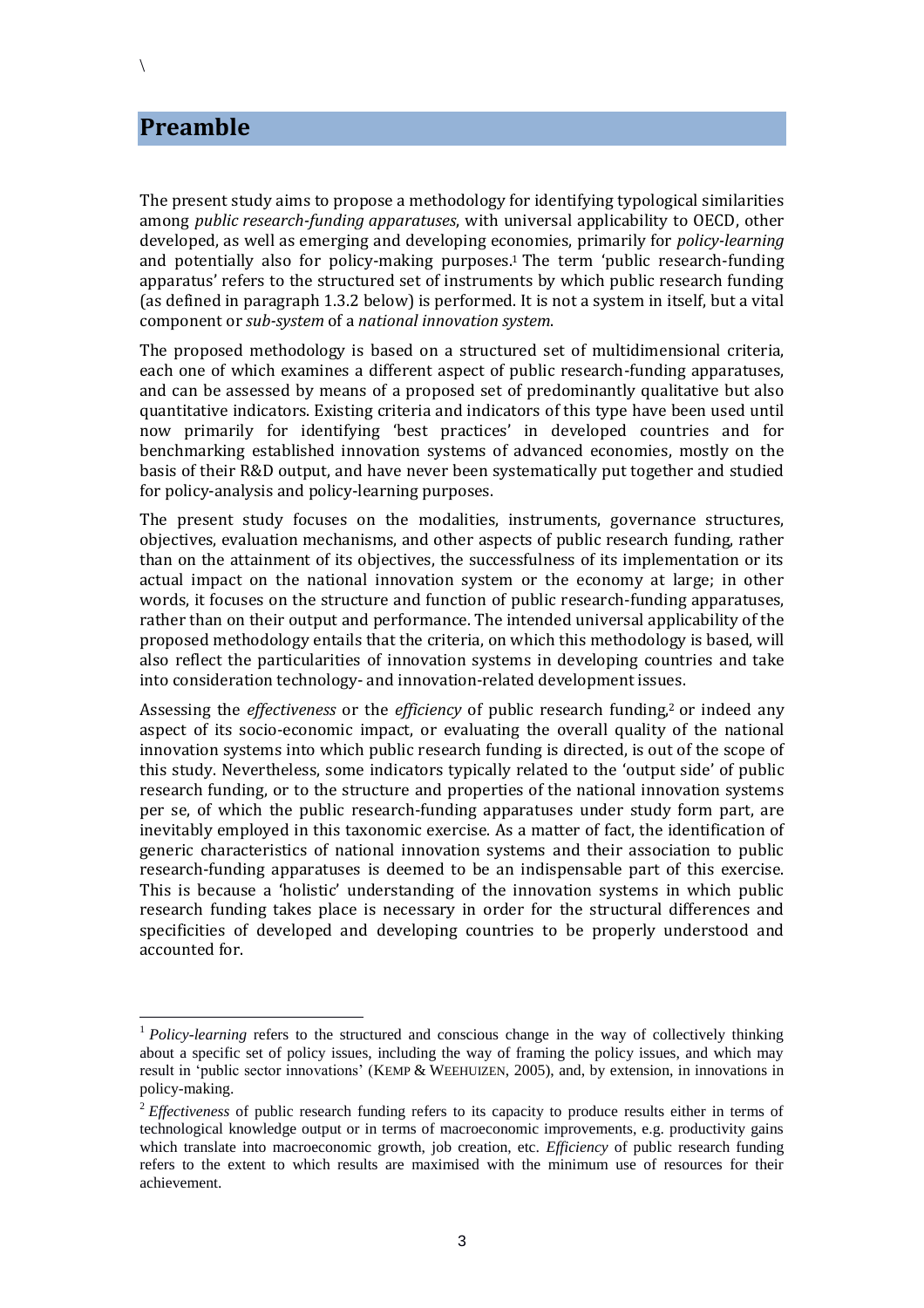### **Preamble**

The present study aims to propose a methodology for identifying typological similarities among *public research-funding apparatuses*, with universal applicability to OECD, other developed, as well as emerging and developing economies, primarily for *policy-learning* and potentially also for policy-making purposes. <sup>1</sup> The term 'public research-funding apparatus' refers to the structured set of instruments by which public research funding (as defined in paragraph [1.3.2](#page-11-0) below) is performed. It is not a system in itself, but a vital component or *sub-system* of a *national innovation system*.

The proposed methodology is based on a structured set of multidimensional criteria, each one of which examines a different aspect of public research-funding apparatuses, and can be assessed by means of a proposed set of predominantly qualitative but also quantitative indicators. Existing criteria and indicators of this type have been used until now primarily for identifying 'best practices' in developed countries and for benchmarking established innovation systems of advanced economies, mostly on the basis of their R&D output, and have never been systematically put together and studied for policy-analysis and policy-learning purposes.

The present study focuses on the modalities, instruments, governance structures, objectives, evaluation mechanisms, and other aspects of public research funding, rather than on the attainment of its objectives, the successfulness of its implementation or its actual impact on the national innovation system or the economy at large; in other words, it focuses on the structure and function of public research-funding apparatuses, rather than on their output and performance. The intended universal applicability of the proposed methodology entails that the criteria, on which this methodology is based, will also reflect the particularities of innovation systems in developing countries and take into consideration technology- and innovation-related development issues.

Assessing the *effectiveness* or the *efficiency* of public research funding,<sup>2</sup> or indeed any aspect of its socio-economic impact, or evaluating the overall quality of the national innovation systems into which public research funding is directed, is out of the scope of this study. Nevertheless, some indicators typically related to the 'output side' of public research funding, or to the structure and properties of the national innovation systems per se, of which the public research-funding apparatuses under study form part, are inevitably employed in this taxonomic exercise. As a matter of fact, the identification of generic characteristics of national innovation systems and their association to public research-funding apparatuses is deemed to be an indispensable part of this exercise. This is because a 'holistic' understanding of the innovation systems in which public research funding takes place is necessary in order for the structural differences and specificities of developed and developing countries to be properly understood and accounted for.

 $\overline{a}$ 

<sup>1</sup> *Policy-learning* refers to the structured and conscious change in the way of collectively thinking about a specific set of policy issues, including the way of framing the policy issues, and which may result in 'public sector innovations' (KEMP & WEEHUIZEN, 2005), and, by extension, in innovations in policy-making.

<sup>&</sup>lt;sup>2</sup> *Effectiveness* of public research funding refers to its capacity to produce results either in terms of technological knowledge output or in terms of macroeconomic improvements, e.g. productivity gains which translate into macroeconomic growth, job creation, etc. *Efficiency* of public research funding refers to the extent to which results are maximised with the minimum use of resources for their achievement.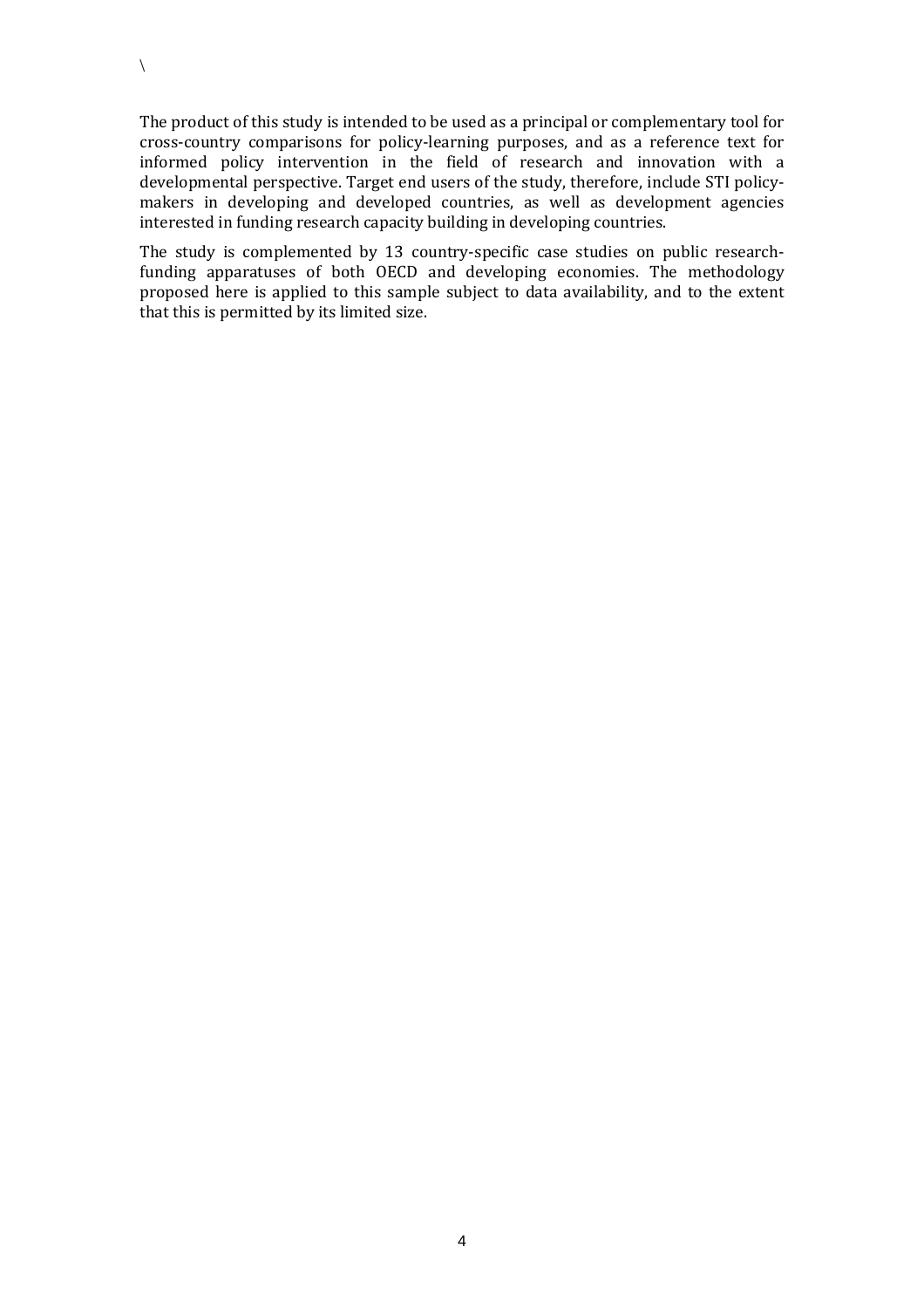The product of this study is intended to be used as a principal or complementary tool for cross-country comparisons for policy-learning purposes, and as a reference text for informed policy intervention in the field of research and innovation with a developmental perspective. Target end users of the study, therefore, include STI policymakers in developing and developed countries, as well as development agencies interested in funding research capacity building in developing countries.

The study is complemented by 13 country-specific case studies on public researchfunding apparatuses of both OECD and developing economies. The methodology proposed here is applied to this sample subject to data availability, and to the extent that this is permitted by its limited size.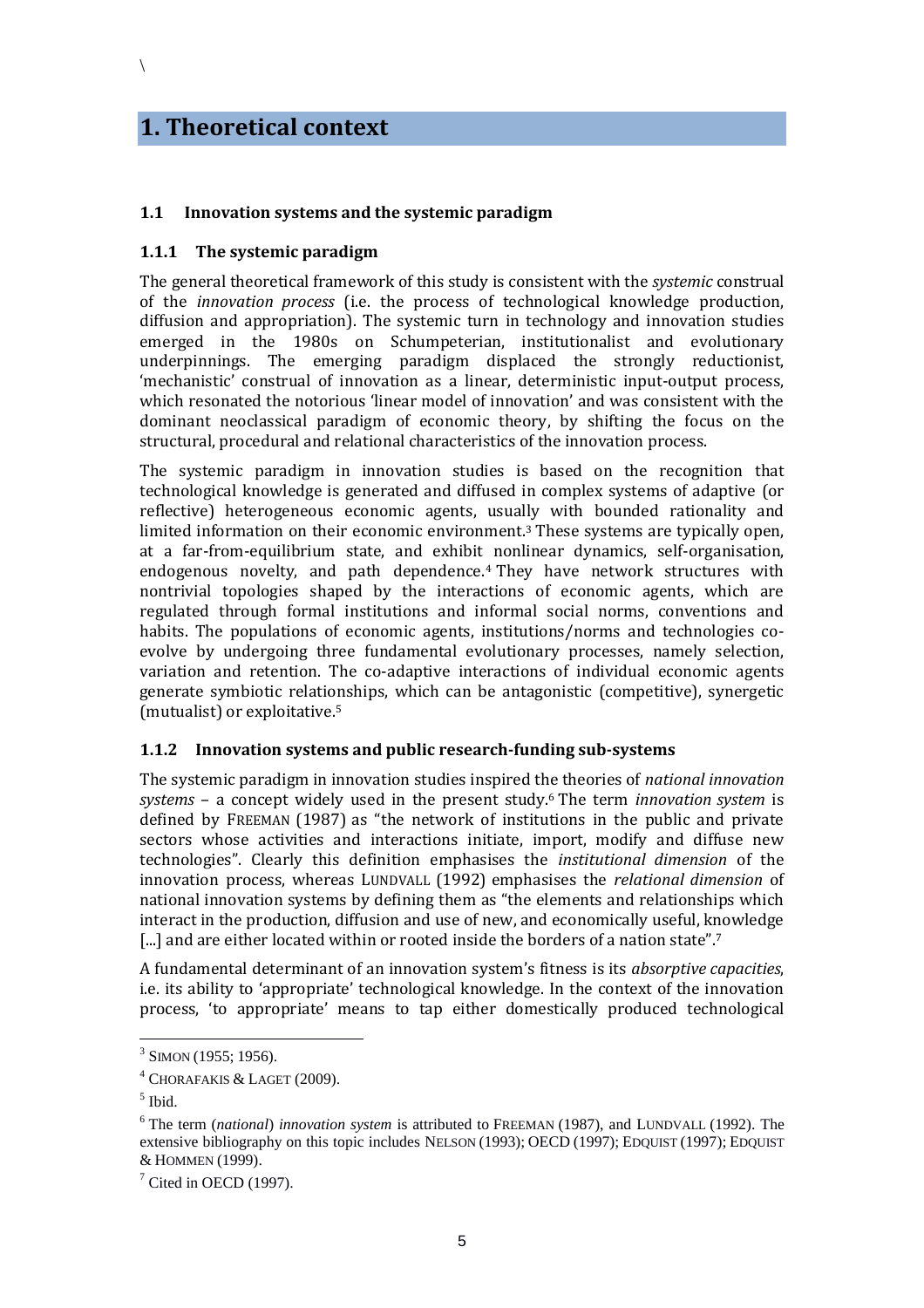## **1. Theoretical context**

 $\setminus$ 

#### **1.1 Innovation systems and the systemic paradigm**

#### **1.1.1 The systemic paradigm**

The general theoretical framework of this study is consistent with the *systemic* construal of the *innovation process* (i.e. the process of technological knowledge production, diffusion and appropriation). The systemic turn in technology and innovation studies emerged in the 1980s on Schumpeterian, institutionalist and evolutionary underpinnings. The emerging paradigm displaced the strongly reductionist, 'mechanistic' construal of innovation as a linear, deterministic input-output process, which resonated the notorious 'linear model of innovation' and was consistent with the dominant neoclassical paradigm of economic theory, by shifting the focus on the structural, procedural and relational characteristics of the innovation process.

The systemic paradigm in innovation studies is based on the recognition that technological knowledge is generated and diffused in complex systems of adaptive (or reflective) heterogeneous economic agents, usually with bounded rationality and limited information on their economic environment.<sup>3</sup> These systems are typically open, at a far-from-equilibrium state, and exhibit nonlinear dynamics, self-organisation, endogenous novelty, and path dependence. <sup>4</sup> They have network structures with nontrivial topologies shaped by the interactions of economic agents, which are regulated through formal institutions and informal social norms, conventions and habits. The populations of economic agents, institutions/norms and technologies coevolve by undergoing three fundamental evolutionary processes, namely selection, variation and retention. The co-adaptive interactions of individual economic agents generate symbiotic relationships, which can be antagonistic (competitive), synergetic (mutualist) or exploitative.<sup>5</sup>

#### **1.1.2 Innovation systems and public research-funding sub-systems**

The systemic paradigm in innovation studies inspired the theories of *national innovation systems* – a concept widely used in the present study.<sup>6</sup> The term *innovation system* is defined by FREEMAN (1987) as "the network of institutions in the public and private sectors whose activities and interactions initiate, import, modify and diffuse new technologies". Clearly this definition emphasises the *institutional dimension* of the innovation process, whereas LUNDVALL (1992) emphasises the *relational dimension* of national innovation systems by defining them as "the elements and relationships which interact in the production, diffusion and use of new, and economically useful, knowledge [...] and are either located within or rooted inside the borders of a nation state".<sup>7</sup>

A fundamental determinant of an innovation system's fitness is its *absorptive capacities*, i.e. its ability to 'appropriate' technological knowledge. In the context of the innovation process, 'to appropriate' means to tap either domestically produced technological

 $\overline{a}$ 

 $3$  SIMON (1955; 1956).

<sup>4</sup> CHORAFAKIS & LAGET (2009).

<sup>5</sup> Ibid.

<sup>6</sup> The term (*national*) *innovation system* is attributed to FREEMAN (1987), and LUNDVALL (1992). The extensive bibliography on this topic includes NELSON (1993); OECD (1997); EDQUIST (1997); EDQUIST & HOMMEN (1999).

 $<sup>7</sup>$  Cited in OECD (1997).</sup>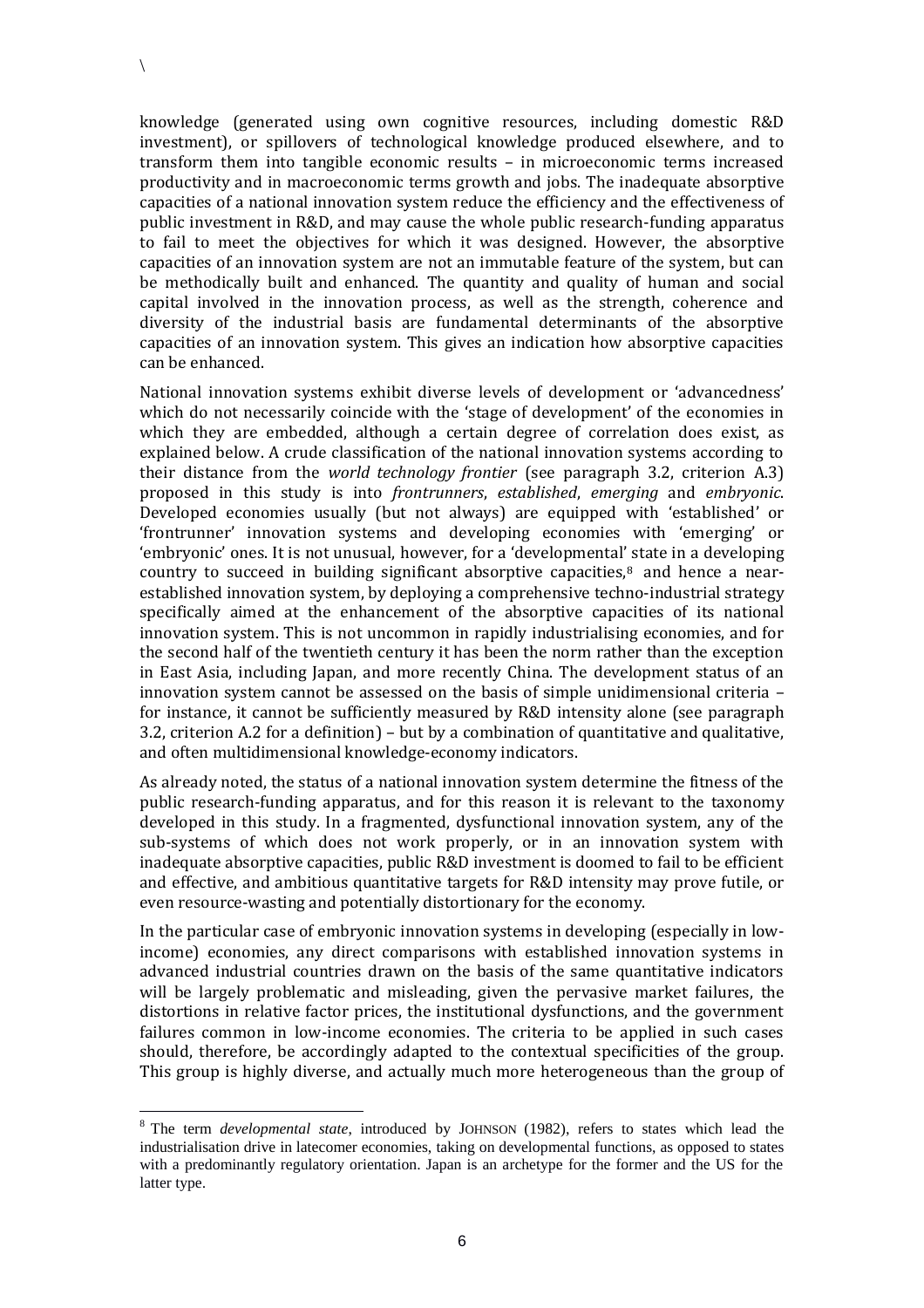$\overline{a}$ 

knowledge (generated using own cognitive resources, including domestic R&D investment), or spillovers of technological knowledge produced elsewhere, and to transform them into tangible economic results – in microeconomic terms increased productivity and in macroeconomic terms growth and jobs. The inadequate absorptive capacities of a national innovation system reduce the efficiency and the effectiveness of public investment in R&D, and may cause the whole public research-funding apparatus to fail to meet the objectives for which it was designed. However, the absorptive capacities of an innovation system are not an immutable feature of the system, but can be methodically built and enhanced. The quantity and quality of human and social capital involved in the innovation process, as well as the strength, coherence and diversity of the industrial basis are fundamental determinants of the absorptive capacities of an innovation system. This gives an indication how absorptive capacities can be enhanced.

National innovation systems exhibit diverse levels of development or 'advancedness' which do not necessarily coincide with the 'stage of development' of the economies in which they are embedded, although a certain degree of correlation does exist, as explained below. A crude classification of the national innovation systems according to their distance from the *world technology frontier* (see paragraph 3.2, criterion A.3) proposed in this study is into *frontrunners*, *established*, *emerging* and *embryonic*. Developed economies usually (but not always) are equipped with 'established' or 'frontrunner' innovation systems and developing economies with 'emerging' or 'embryonic' ones. It is not unusual, however, for a 'developmental' state in a developing country to succeed in building significant absorptive capacities, $8$  and hence a nearestablished innovation system, by deploying a comprehensive techno-industrial strategy specifically aimed at the enhancement of the absorptive capacities of its national innovation system. This is not uncommon in rapidly industrialising economies, and for the second half of the twentieth century it has been the norm rather than the exception in East Asia, including Japan, and more recently China. The development status of an innovation system cannot be assessed on the basis of simple unidimensional criteria – for instance, it cannot be sufficiently measured by R&D intensity alone (see paragraph 3.2, criterion A.2 for a definition) – but by a combination of quantitative and qualitative, and often multidimensional knowledge-economy indicators.

As already noted, the status of a national innovation system determine the fitness of the public research-funding apparatus, and for this reason it is relevant to the taxonomy developed in this study. In a fragmented, dysfunctional innovation system, any of the sub-systems of which does not work properly, or in an innovation system with inadequate absorptive capacities, public R&D investment is doomed to fail to be efficient and effective, and ambitious quantitative targets for R&D intensity may prove futile, or even resource-wasting and potentially distortionary for the economy.

In the particular case of embryonic innovation systems in developing (especially in lowincome) economies, any direct comparisons with established innovation systems in advanced industrial countries drawn on the basis of the same quantitative indicators will be largely problematic and misleading, given the pervasive market failures, the distortions in relative factor prices, the institutional dysfunctions, and the government failures common in low-income economies. The criteria to be applied in such cases should, therefore, be accordingly adapted to the contextual specificities of the group. This group is highly diverse, and actually much more heterogeneous than the group of

<sup>8</sup> The term *developmental state*, introduced by JOHNSON (1982), refers to states which lead the industrialisation drive in latecomer economies, taking on developmental functions, as opposed to states with a predominantly regulatory orientation. Japan is an archetype for the former and the US for the latter type.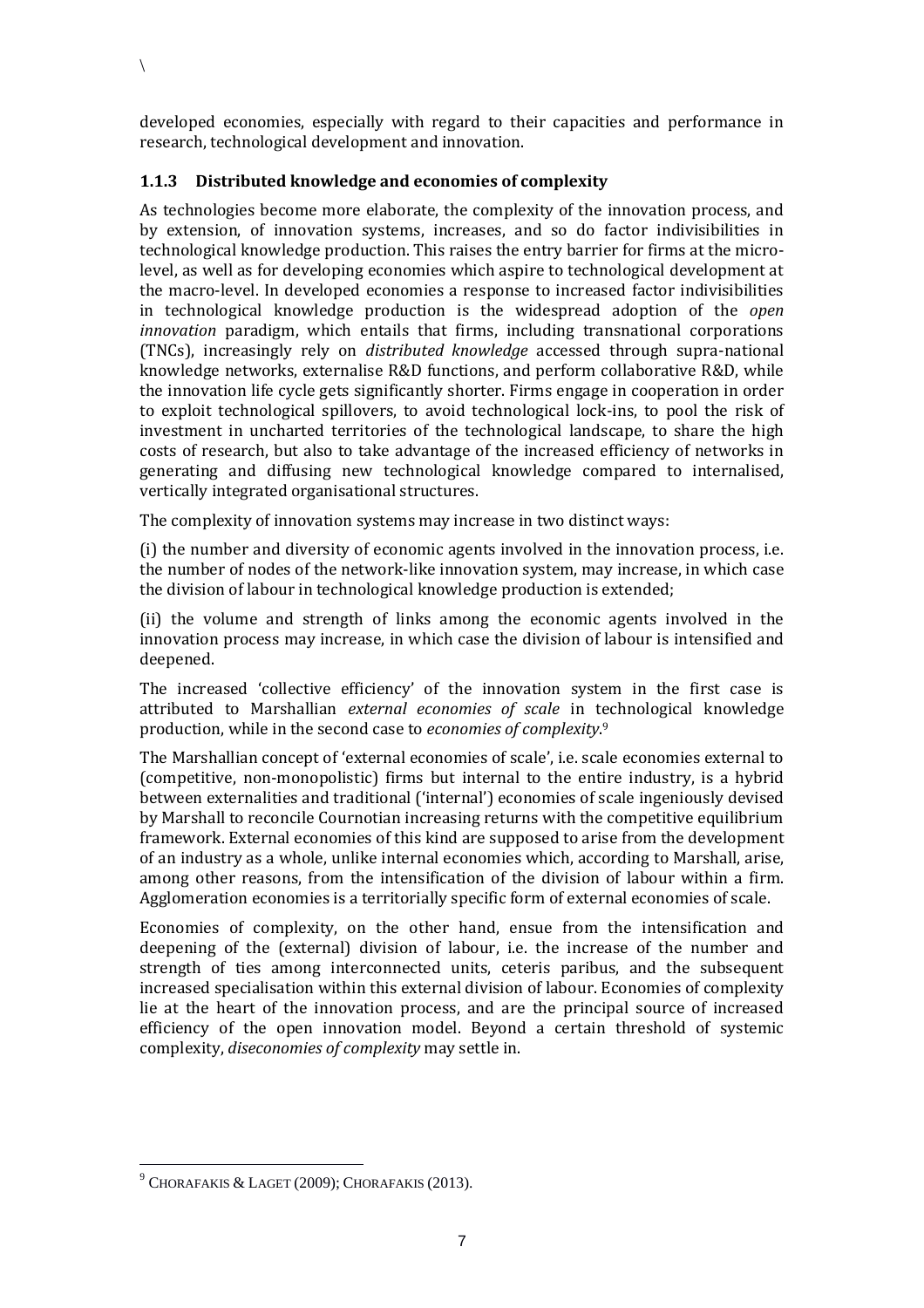developed economies, especially with regard to their capacities and performance in research, technological development and innovation.

#### **1.1.3 Distributed knowledge and economies of complexity**

 $\setminus$ 

As technologies become more elaborate, the complexity of the innovation process, and by extension, of innovation systems, increases, and so do factor indivisibilities in technological knowledge production. This raises the entry barrier for firms at the microlevel, as well as for developing economies which aspire to technological development at the macro-level. In developed economies a response to increased factor indivisibilities in technological knowledge production is the widespread adoption of the *open innovation* paradigm, which entails that firms, including transnational corporations (TNCs), increasingly rely on *distributed knowledge* accessed through supra-national knowledge networks, externalise R&D functions, and perform collaborative R&D, while the innovation life cycle gets significantly shorter. Firms engage in cooperation in order to exploit technological spillovers, to avoid technological lock-ins, to pool the risk of investment in uncharted territories of the technological landscape, to share the high costs of research, but also to take advantage of the increased efficiency of networks in generating and diffusing new technological knowledge compared to internalised, vertically integrated organisational structures.

The complexity of innovation systems may increase in two distinct ways:

(i) the number and diversity of economic agents involved in the innovation process, i.e. the number of nodes of the network-like innovation system, may increase, in which case the division of labour in technological knowledge production is extended;

(ii) the volume and strength of links among the economic agents involved in the innovation process may increase, in which case the division of labour is intensified and deepened.

The increased 'collective efficiency' of the innovation system in the first case is attributed to Marshallian *external economies of scale* in technological knowledge production, while in the second case to *economies of complexity*. 9

The Marshallian concept of 'external economies of scale', i.e. scale economies external to (competitive, non-monopolistic) firms but internal to the entire industry, is a hybrid between externalities and traditional ('internal') economies of scale ingeniously devised by Marshall to reconcile Cournotian increasing returns with the competitive equilibrium framework. External economies of this kind are supposed to arise from the development of an industry as a whole, unlike internal economies which, according to Marshall, arise, among other reasons, from the intensification of the division of labour within a firm. Agglomeration economies is a territorially specific form of external economies of scale.

Economies of complexity, on the other hand, ensue from the intensification and deepening of the (external) division of labour, i.e. the increase of the number and strength of ties among interconnected units, ceteris paribus, and the subsequent increased specialisation within this external division of labour. Economies of complexity lie at the heart of the innovation process, and are the principal source of increased efficiency of the open innovation model. Beyond a certain threshold of systemic complexity, *diseconomies of complexity* may settle in.

 $9$  CHORAFAKIS & LAGET (2009); CHORAFAKIS (2013).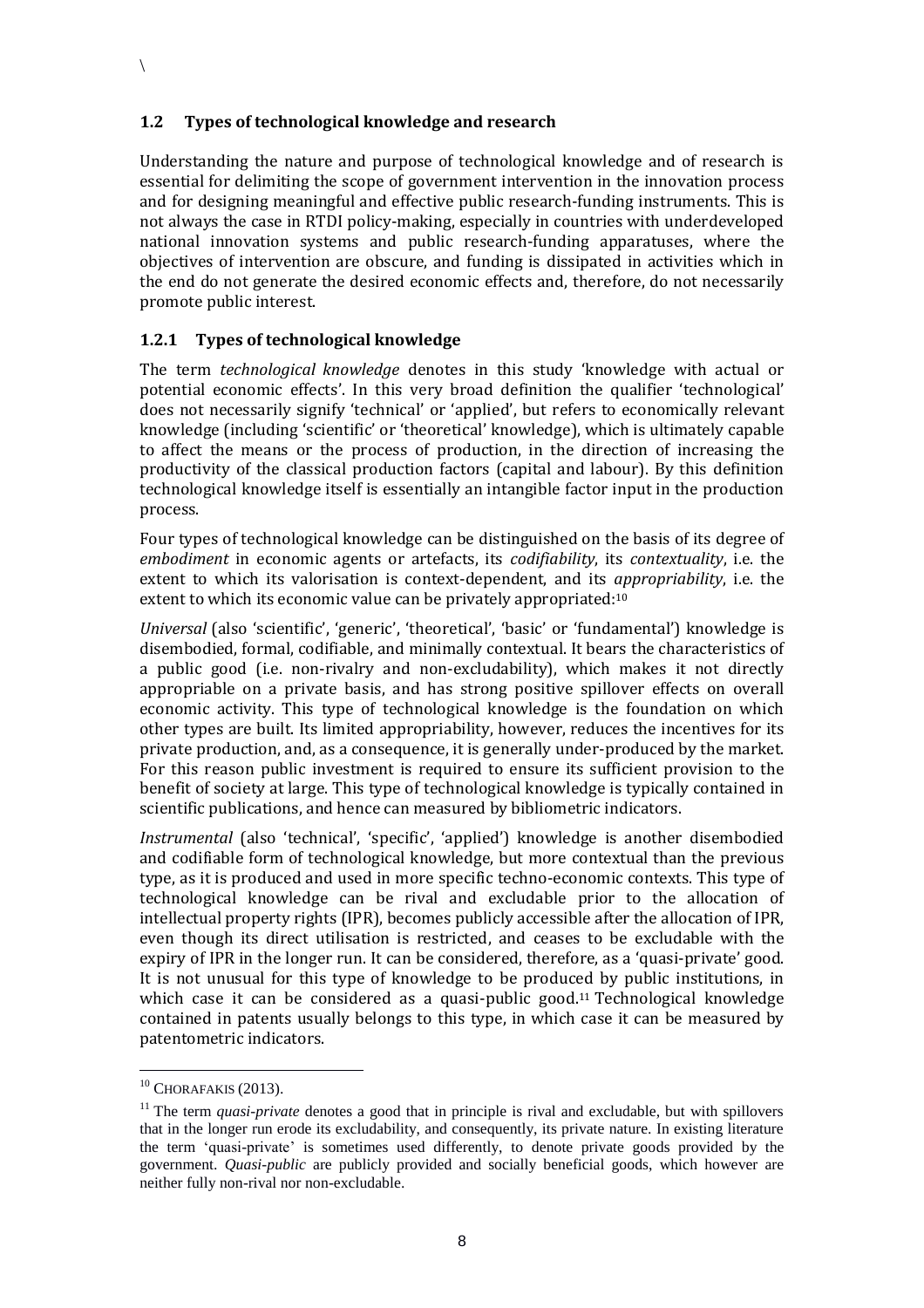#### **1.2 Types of technological knowledge and research**

Understanding the nature and purpose of technological knowledge and of research is essential for delimiting the scope of government intervention in the innovation process and for designing meaningful and effective public research-funding instruments. This is not always the case in RTDI policy-making, especially in countries with underdeveloped national innovation systems and public research-funding apparatuses, where the objectives of intervention are obscure, and funding is dissipated in activities which in the end do not generate the desired economic effects and, therefore, do not necessarily promote public interest.

#### **1.2.1 Types of technological knowledge**

The term *technological knowledge* denotes in this study 'knowledge with actual or potential economic effects'. In this very broad definition the qualifier 'technological' does not necessarily signify 'technical' or 'applied', but refers to economically relevant knowledge (including 'scientific' or 'theoretical' knowledge), which is ultimately capable to affect the means or the process of production, in the direction of increasing the productivity of the classical production factors (capital and labour). By this definition technological knowledge itself is essentially an intangible factor input in the production process.

Four types of technological knowledge can be distinguished on the basis of its degree of *embodiment* in economic agents or artefacts, its *codifiability*, its *contextuality*, i.e. the extent to which its valorisation is context-dependent, and its *appropriability*, i.e. the extent to which its economic value can be privately appropriated: 10

*Universal* (also 'scientific', 'generic', 'theoretical', 'basic' or 'fundamental') knowledge is disembodied, formal, codifiable, and minimally contextual. It bears the characteristics of a public good (i.e. non-rivalry and non-excludability), which makes it not directly appropriable on a private basis, and has strong positive spillover effects on overall economic activity. This type of technological knowledge is the foundation on which other types are built. Its limited appropriability, however, reduces the incentives for its private production, and, as a consequence, it is generally under-produced by the market. For this reason public investment is required to ensure its sufficient provision to the benefit of society at large. This type of technological knowledge is typically contained in scientific publications, and hence can measured by bibliometric indicators.

*Instrumental* (also 'technical', 'specific', 'applied') knowledge is another disembodied and codifiable form of technological knowledge, but more contextual than the previous type, as it is produced and used in more specific techno-economic contexts. This type of technological knowledge can be rival and excludable prior to the allocation of intellectual property rights (IPR), becomes publicly accessible after the allocation of IPR, even though its direct utilisation is restricted, and ceases to be excludable with the expiry of IPR in the longer run. It can be considered, therefore, as a 'quasi-private' good. It is not unusual for this type of knowledge to be produced by public institutions, in which case it can be considered as a quasi-public good.<sup>11</sup> Technological knowledge contained in patents usually belongs to this type, in which case it can be measured by patentometric indicators.

 $\overline{a}$ 

 $10$  CHORAFAKIS (2013).

<sup>&</sup>lt;sup>11</sup> The term *quasi-private* denotes a good that in principle is rival and excludable, but with spillovers that in the longer run erode its excludability, and consequently, its private nature. In existing literature the term 'quasi-private' is sometimes used differently, to denote private goods provided by the government. *Quasi-public* are publicly provided and socially beneficial goods, which however are neither fully non-rival nor non-excludable.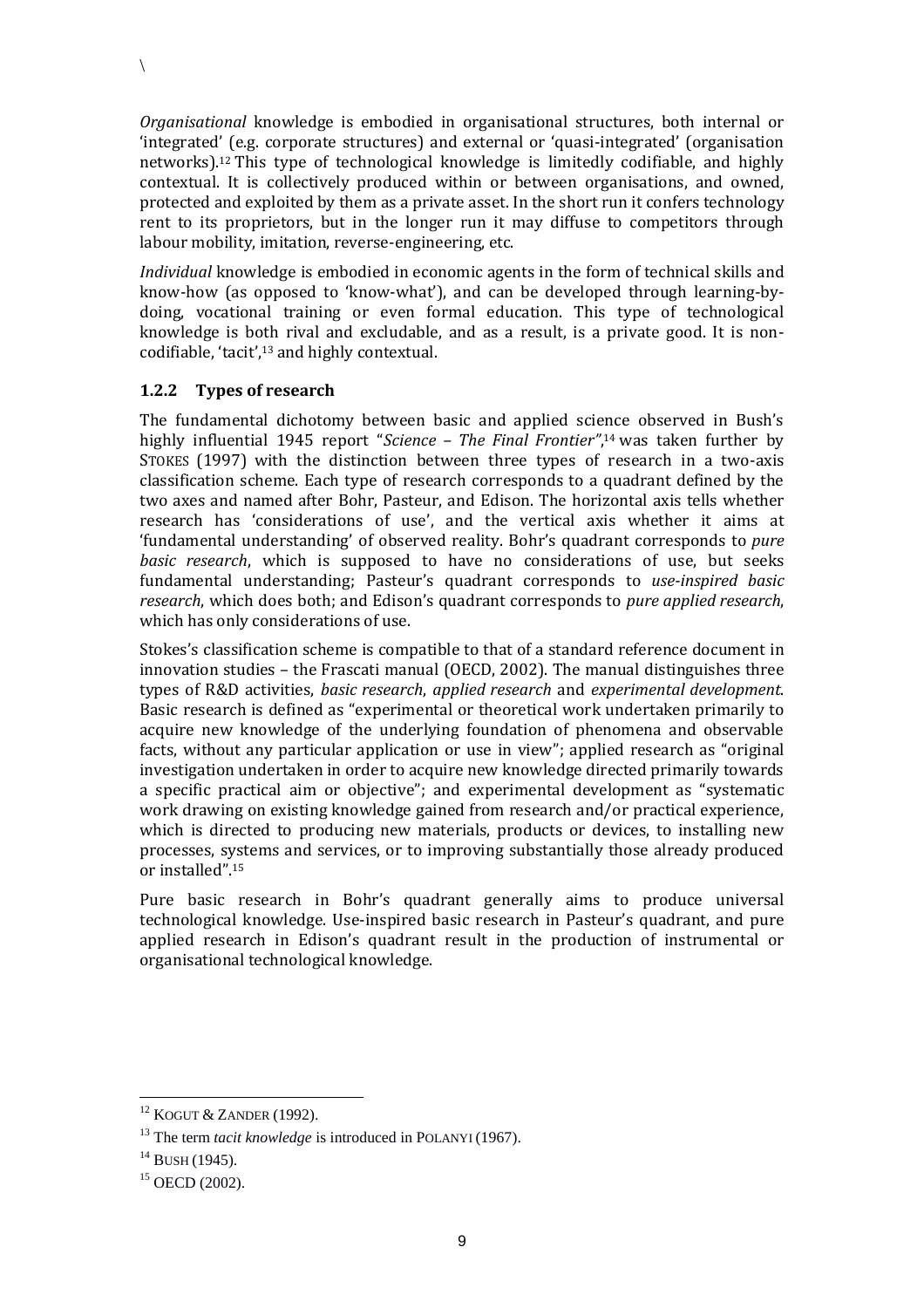*Organisational* knowledge is embodied in organisational structures, both internal or 'integrated' (e.g. corporate structures) and external or 'quasi-integrated' (organisation networks).<sup>12</sup> This type of technological knowledge is limitedly codifiable, and highly contextual. It is collectively produced within or between organisations, and owned, protected and exploited by them as a private asset. In the short run it confers technology rent to its proprietors, but in the longer run it may diffuse to competitors through labour mobility, imitation, reverse-engineering, etc.

*Individual* knowledge is embodied in economic agents in the form of technical skills and know-how (as opposed to 'know-what'), and can be developed through learning-bydoing, vocational training or even formal education. This type of technological knowledge is both rival and excludable, and as a result, is a private good. It is noncodifiable, 'tacit',<sup>13</sup> and highly contextual.

#### **1.2.2 Types of research**

 $\setminus$ 

The fundamental dichotomy between basic and applied science observed in Bush's highly influential 1945 report "*Science – The Final Frontier"*, <sup>14</sup> was taken further by STOKES (1997) with the distinction between three types of research in a two-axis classification scheme. Each type of research corresponds to a quadrant defined by the two axes and named after Bohr, Pasteur, and Edison. The horizontal axis tells whether research has 'considerations of use', and the vertical axis whether it aims at 'fundamental understanding' of observed reality. Bohr's quadrant corresponds to *pure basic research*, which is supposed to have no considerations of use, but seeks fundamental understanding; Pasteur's quadrant corresponds to *use-inspired basic research*, which does both; and Edison's quadrant corresponds to *pure applied research*, which has only considerations of use.

Stokes's classification scheme is compatible to that of a standard reference document in innovation studies – the Frascati manual (OECD, 2002). The manual distinguishes three types of R&D activities, *basic research*, *applied research* and *experimental development*. Basic research is defined as "experimental or theoretical work undertaken primarily to acquire new knowledge of the underlying foundation of phenomena and observable facts, without any particular application or use in view"; applied research as "original investigation undertaken in order to acquire new knowledge directed primarily towards a specific practical aim or objective"; and experimental development as "systematic work drawing on existing knowledge gained from research and/or practical experience, which is directed to producing new materials, products or devices, to installing new processes, systems and services, or to improving substantially those already produced or installed". 15

Pure basic research in Bohr's quadrant generally aims to produce universal technological knowledge. Use-inspired basic research in Pasteur's quadrant, and pure applied research in Edison's quadrant result in the production of instrumental or organisational technological knowledge.

 $\overline{a}$ 

<sup>12</sup> KOGUT & ZANDER (1992).

<sup>&</sup>lt;sup>13</sup> The term *tacit knowledge* is introduced in POLANYI (1967).

 $14$  BUSH (1945).

 $15$  OECD (2002).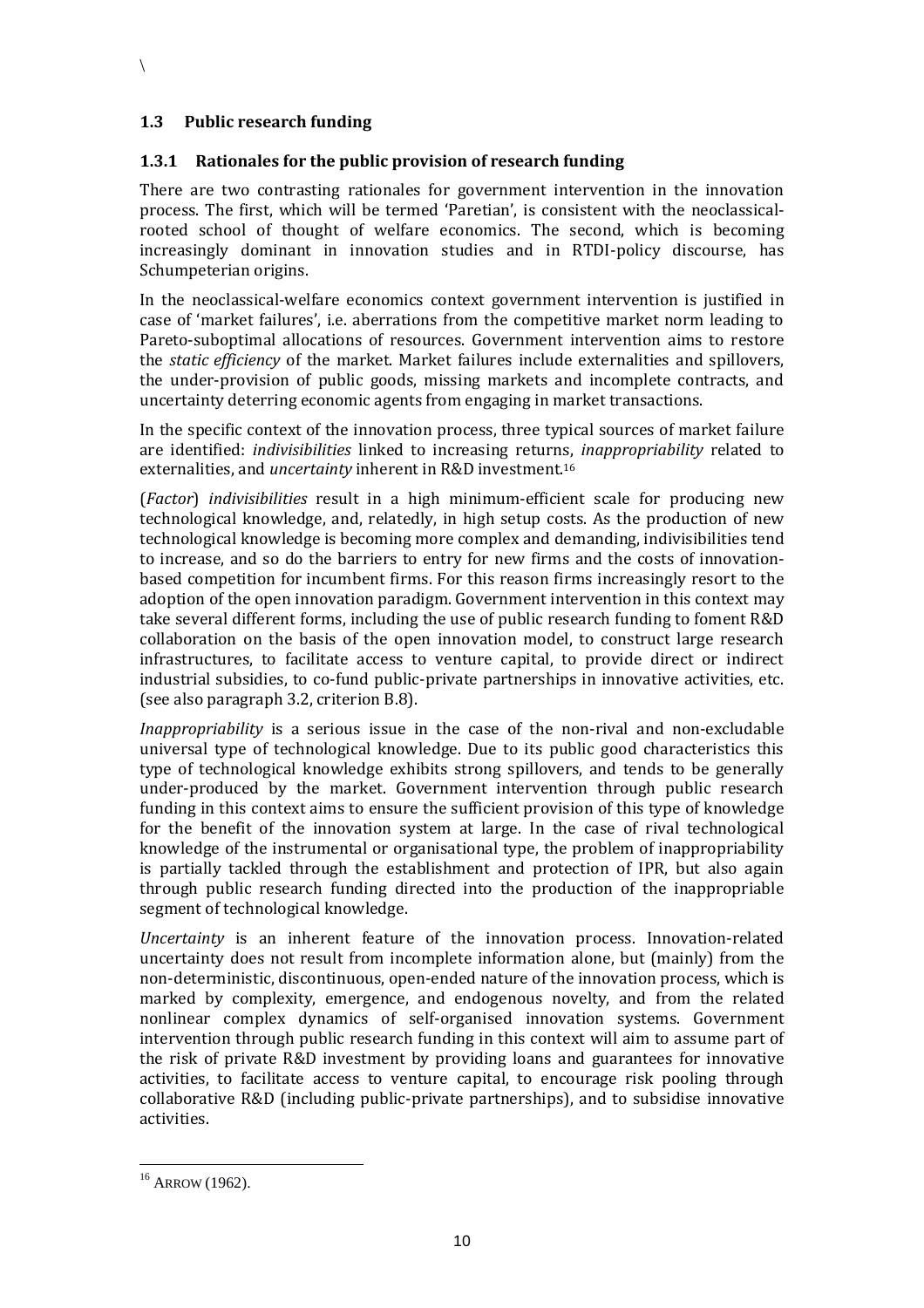#### **1.3 Public research funding**

#### <span id="page-9-0"></span>**1.3.1 Rationales for the public provision of research funding**

There are two contrasting rationales for government intervention in the innovation process. The first, which will be termed 'Paretian', is consistent with the neoclassicalrooted school of thought of welfare economics. The second, which is becoming increasingly dominant in innovation studies and in RTDI-policy discourse, has Schumpeterian origins.

In the neoclassical-welfare economics context government intervention is justified in case of 'market failures', i.e. aberrations from the competitive market norm leading to Pareto-suboptimal allocations of resources. Government intervention aims to restore the *static efficiency* of the market. Market failures include externalities and spillovers, the under-provision of public goods, missing markets and incomplete contracts, and uncertainty deterring economic agents from engaging in market transactions.

In the specific context of the innovation process, three typical sources of market failure are identified: *indivisibilities* linked to increasing returns, *inappropriability* related to externalities, and *uncertainty* inherent in R&D investment. 16

(*Factor*) *indivisibilities* result in a high minimum-efficient scale for producing new technological knowledge, and, relatedly, in high setup costs. As the production of new technological knowledge is becoming more complex and demanding, indivisibilities tend to increase, and so do the barriers to entry for new firms and the costs of innovationbased competition for incumbent firms. For this reason firms increasingly resort to the adoption of the open innovation paradigm. Government intervention in this context may take several different forms, including the use of public research funding to foment R&D collaboration on the basis of the open innovation model, to construct large research infrastructures, to facilitate access to venture capital, to provide direct or indirect industrial subsidies, to co-fund public-private partnerships in innovative activities, etc. (see also paragraph 3.2, criterion B.8).

*Inappropriability* is a serious issue in the case of the non-rival and non-excludable universal type of technological knowledge. Due to its public good characteristics this type of technological knowledge exhibits strong spillovers, and tends to be generally under-produced by the market. Government intervention through public research funding in this context aims to ensure the sufficient provision of this type of knowledge for the benefit of the innovation system at large. In the case of rival technological knowledge of the instrumental or organisational type, the problem of inappropriability is partially tackled through the establishment and protection of IPR, but also again through public research funding directed into the production of the inappropriable segment of technological knowledge.

*Uncertainty* is an inherent feature of the innovation process. Innovation-related uncertainty does not result from incomplete information alone, but (mainly) from the non-deterministic, discontinuous, open-ended nature of the innovation process, which is marked by complexity, emergence, and endogenous novelty, and from the related nonlinear complex dynamics of self-organised innovation systems. Government intervention through public research funding in this context will aim to assume part of the risk of private R&D investment by providing loans and guarantees for innovative activities, to facilitate access to venture capital, to encourage risk pooling through collaborative R&D (including public-private partnerships), and to subsidise innovative activities.

 $16$  ARROW (1962).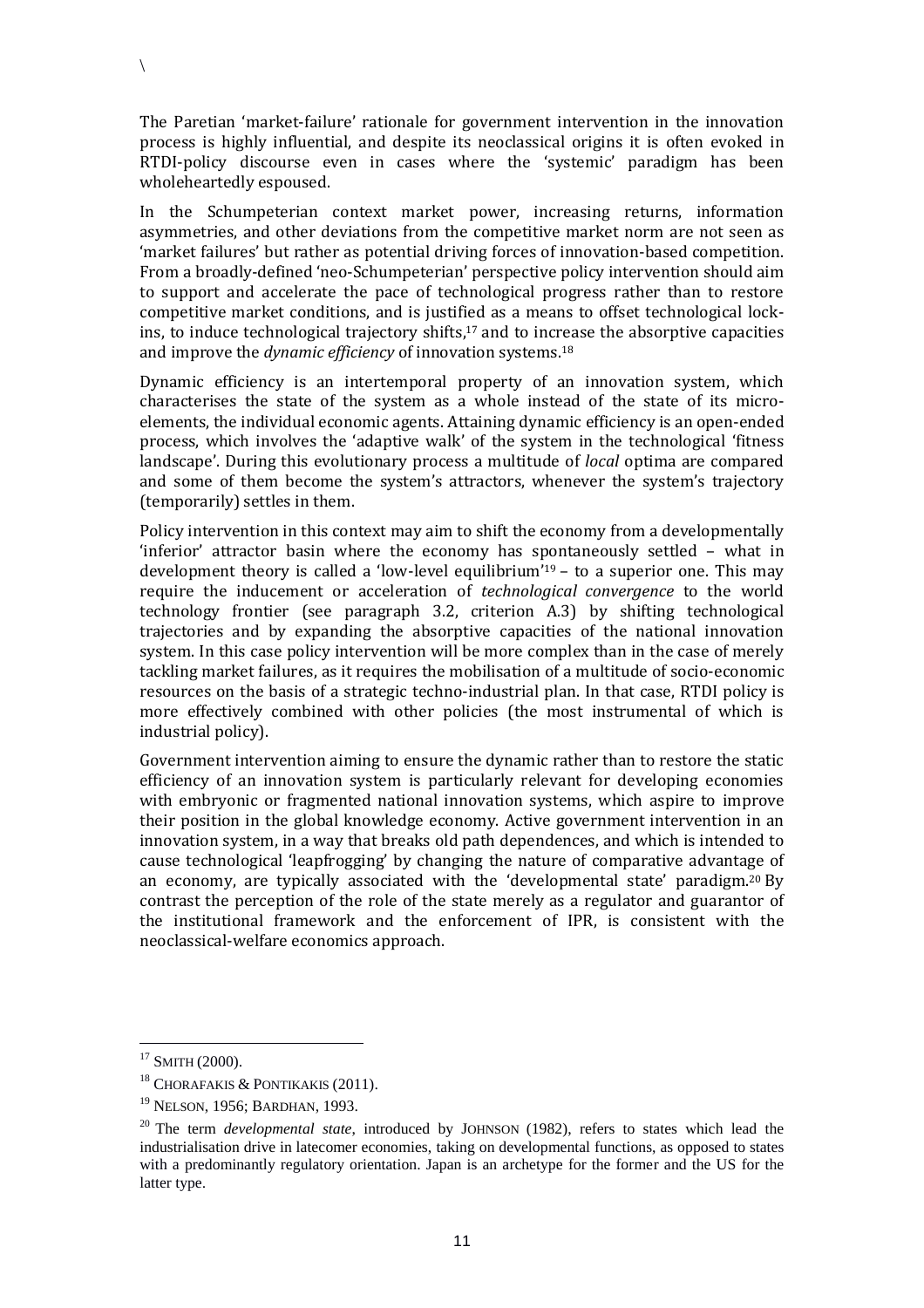The Paretian 'market-failure' rationale for government intervention in the innovation process is highly influential, and despite its neoclassical origins it is often evoked in RTDI-policy discourse even in cases where the 'systemic' paradigm has been wholeheartedly espoused.

In the Schumpeterian context market power, increasing returns, information asymmetries, and other deviations from the competitive market norm are not seen as 'market failures' but rather as potential driving forces of innovation-based competition. From a broadly-defined 'neo-Schumpeterian' perspective policy intervention should aim to support and accelerate the pace of technological progress rather than to restore competitive market conditions, and is justified as a means to offset technological lockins, to induce technological trajectory shifts, <sup>17</sup> and to increase the absorptive capacities and improve the *dynamic efficiency* of innovation systems. 18

Dynamic efficiency is an intertemporal property of an innovation system, which characterises the state of the system as a whole instead of the state of its microelements, the individual economic agents. Attaining dynamic efficiency is an open-ended process, which involves the 'adaptive walk' of the system in the technological 'fitness landscape'. During this evolutionary process a multitude of *local* optima are compared and some of them become the system's attractors, whenever the system's trajectory (temporarily) settles in them.

Policy intervention in this context may aim to shift the economy from a developmentally 'inferior' attractor basin where the economy has spontaneously settled – what in development theory is called a 'low-level equilibrium'<sup>19</sup> – to a superior one. This may require the inducement or acceleration of *technological convergence* to the world technology frontier (see paragraph 3.2, criterion A.3) by shifting technological trajectories and by expanding the absorptive capacities of the national innovation system. In this case policy intervention will be more complex than in the case of merely tackling market failures, as it requires the mobilisation of a multitude of socio-economic resources on the basis of a strategic techno-industrial plan. In that case, RTDI policy is more effectively combined with other policies (the most instrumental of which is industrial policy).

Government intervention aiming to ensure the dynamic rather than to restore the static efficiency of an innovation system is particularly relevant for developing economies with embryonic or fragmented national innovation systems, which aspire to improve their position in the global knowledge economy. Active government intervention in an innovation system, in a way that breaks old path dependences, and which is intended to cause technological 'leapfrogging' by changing the nature of comparative advantage of an economy, are typically associated with the 'developmental state' paradigm.<sup>20</sup> By contrast the perception of the role of the state merely as a regulator and guarantor of the institutional framework and the enforcement of IPR, is consistent with the neoclassical-welfare economics approach.

 $\overline{a}$ 

 $\setminus$ 

 $17$  SMITH (2000).

<sup>&</sup>lt;sup>18</sup> CHORAFAKIS & PONTIKAKIS (2011).

<sup>&</sup>lt;sup>19</sup> NELSON, 1956; BARDHAN, 1993.

<sup>20</sup> The term *developmental state*, introduced by JOHNSON (1982), refers to states which lead the industrialisation drive in latecomer economies, taking on developmental functions, as opposed to states with a predominantly regulatory orientation. Japan is an archetype for the former and the US for the latter type.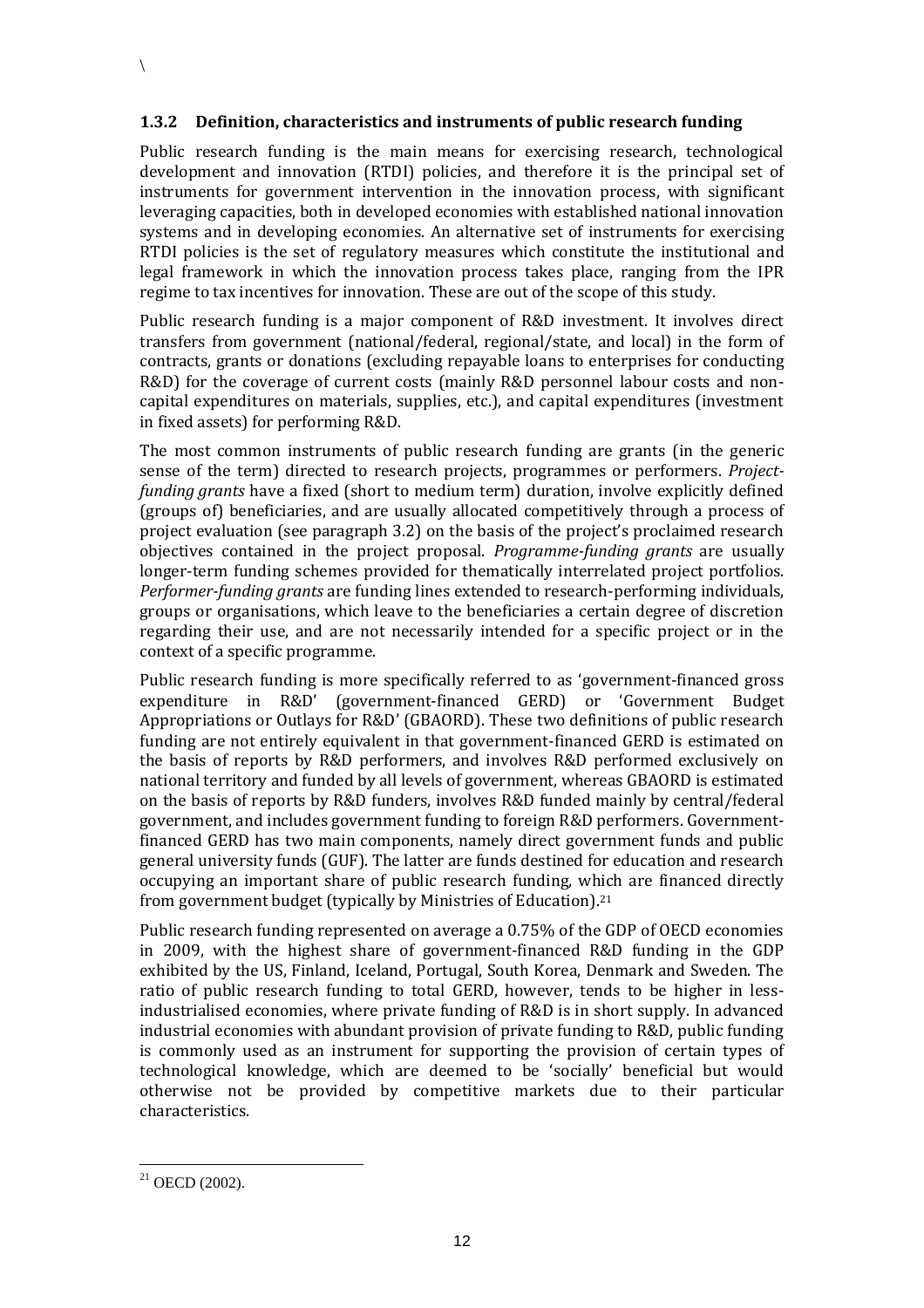#### <span id="page-11-0"></span>**1.3.2 Definition, characteristics and instruments of public research funding**

Public research funding is the main means for exercising research, technological development and innovation (RTDI) policies, and therefore it is the principal set of instruments for government intervention in the innovation process, with significant leveraging capacities, both in developed economies with established national innovation systems and in developing economies. An alternative set of instruments for exercising RTDI policies is the set of regulatory measures which constitute the institutional and legal framework in which the innovation process takes place, ranging from the IPR regime to tax incentives for innovation. These are out of the scope of this study.

Public research funding is a major component of R&D investment. It involves direct transfers from government (national/federal, regional/state, and local) in the form of contracts, grants or donations (excluding repayable loans to enterprises for conducting R&D) for the coverage of current costs (mainly R&D personnel labour costs and noncapital expenditures on materials, supplies, etc.), and capital expenditures (investment in fixed assets) for performing R&D.

The most common instruments of public research funding are grants (in the generic sense of the term) directed to research projects, programmes or performers. *Projectfunding grants* have a fixed (short to medium term) duration, involve explicitly defined (groups of) beneficiaries, and are usually allocated competitively through a process of project evaluation (see paragraph 3.2) on the basis of the project's proclaimed research objectives contained in the project proposal. *Programme-funding grants* are usually longer-term funding schemes provided for thematically interrelated project portfolios. *Performer-funding grants* are funding lines extended to research-performing individuals, groups or organisations, which leave to the beneficiaries a certain degree of discretion regarding their use, and are not necessarily intended for a specific project or in the context of a specific programme.

Public research funding is more specifically referred to as 'government-financed gross expenditure in R&D' (government-financed GERD) or 'Government Budget Appropriations or Outlays for R&D' (GBAORD). These two definitions of public research funding are not entirely equivalent in that government-financed GERD is estimated on the basis of reports by R&D performers, and involves R&D performed exclusively on national territory and funded by all levels of government, whereas GBAORD is estimated on the basis of reports by R&D funders, involves R&D funded mainly by central/federal government, and includes government funding to foreign R&D performers. Governmentfinanced GERD has two main components, namely direct government funds and public general university funds (GUF). The latter are funds destined for education and research occupying an important share of public research funding, which are financed directly from government budget (typically by Ministries of Education).<sup>21</sup>

Public research funding represented on average a 0.75% of the GDP of OECD economies in 2009, with the highest share of government-financed R&D funding in the GDP exhibited by the US, Finland, Iceland, Portugal, South Korea, Denmark and Sweden. The ratio of public research funding to total GERD, however, tends to be higher in lessindustrialised economies, where private funding of R&D is in short supply. In advanced industrial economies with abundant provision of private funding to R&D, public funding is commonly used as an instrument for supporting the provision of certain types of technological knowledge, which are deemed to be 'socially' beneficial but would otherwise not be provided by competitive markets due to their particular characteristics.

 $21$  OECD (2002).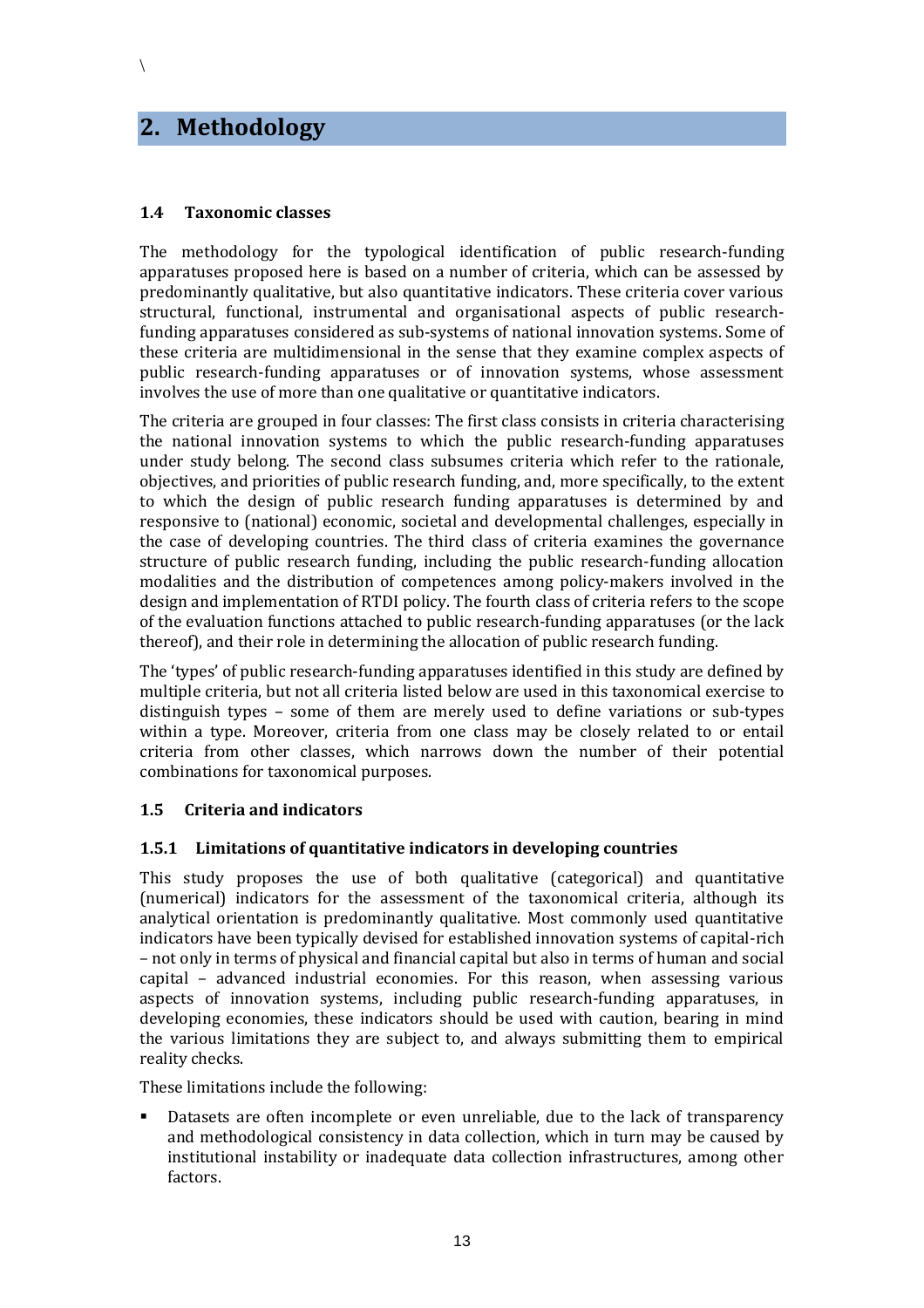## **2. Methodology**

 $\setminus$ 

#### **1.4 Taxonomic classes**

The methodology for the typological identification of public research-funding apparatuses proposed here is based on a number of criteria, which can be assessed by predominantly qualitative, but also quantitative indicators. These criteria cover various structural, functional, instrumental and organisational aspects of public researchfunding apparatuses considered as sub-systems of national innovation systems. Some of these criteria are multidimensional in the sense that they examine complex aspects of public research-funding apparatuses or of innovation systems, whose assessment involves the use of more than one qualitative or quantitative indicators.

The criteria are grouped in four classes: The first class consists in criteria characterising the national innovation systems to which the public research-funding apparatuses under study belong. The second class subsumes criteria which refer to the rationale, objectives, and priorities of public research funding, and, more specifically, to the extent to which the design of public research funding apparatuses is determined by and responsive to (national) economic, societal and developmental challenges, especially in the case of developing countries. The third class of criteria examines the governance structure of public research funding, including the public research-funding allocation modalities and the distribution of competences among policy-makers involved in the design and implementation of RTDI policy. The fourth class of criteria refers to the scope of the evaluation functions attached to public research-funding apparatuses (or the lack thereof), and their role in determining the allocation of public research funding.

The 'types' of public research-funding apparatuses identified in this study are defined by multiple criteria, but not all criteria listed below are used in this taxonomical exercise to distinguish types – some of them are merely used to define variations or sub-types within a type. Moreover, criteria from one class may be closely related to or entail criteria from other classes, which narrows down the number of their potential combinations for taxonomical purposes.

#### **1.5 Criteria and indicators**

#### **1.5.1 Limitations of quantitative indicators in developing countries**

This study proposes the use of both qualitative (categorical) and quantitative (numerical) indicators for the assessment of the taxonomical criteria, although its analytical orientation is predominantly qualitative. Most commonly used quantitative indicators have been typically devised for established innovation systems of capital-rich – not only in terms of physical and financial capital but also in terms of human and social capital – advanced industrial economies. For this reason, when assessing various aspects of innovation systems, including public research-funding apparatuses, in developing economies, these indicators should be used with caution, bearing in mind the various limitations they are subject to, and always submitting them to empirical reality checks.

These limitations include the following:

 Datasets are often incomplete or even unreliable, due to the lack of transparency and methodological consistency in data collection, which in turn may be caused by institutional instability or inadequate data collection infrastructures, among other factors.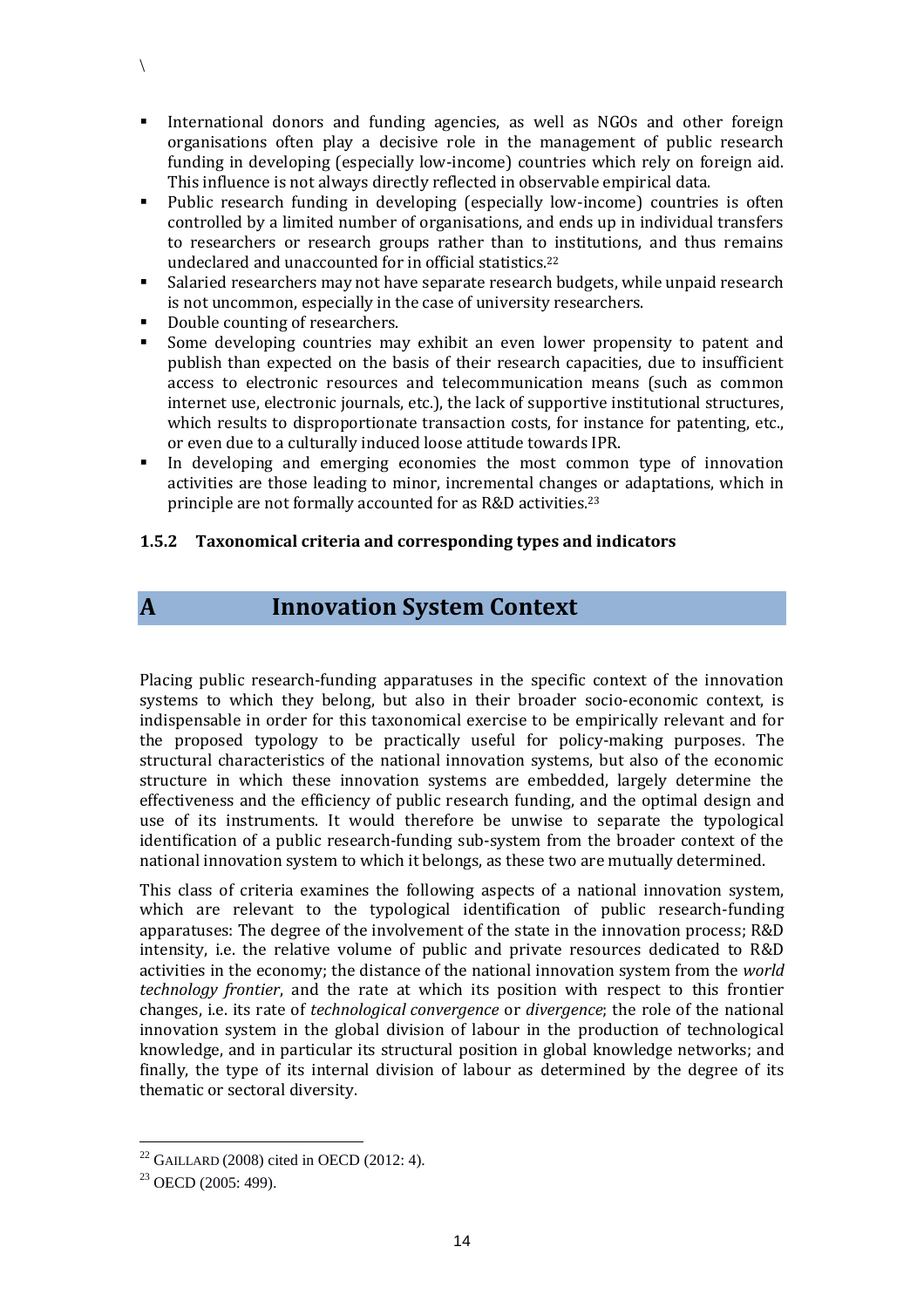- International donors and funding agencies, as well as NGOs and other foreign organisations often play a decisive role in the management of public research funding in developing (especially low-income) countries which rely on foreign aid. This influence is not always directly reflected in observable empirical data.
- Public research funding in developing (especially low-income) countries is often controlled by a limited number of organisations, and ends up in individual transfers to researchers or research groups rather than to institutions, and thus remains undeclared and unaccounted for in official statistics.<sup>22</sup>
- Salaried researchers may not have separate research budgets, while unpaid research is not uncommon, especially in the case of university researchers.
- Double counting of researchers.
- Some developing countries may exhibit an even lower propensity to patent and publish than expected on the basis of their research capacities, due to insufficient access to electronic resources and telecommunication means (such as common internet use, electronic journals, etc.), the lack of supportive institutional structures, which results to disproportionate transaction costs, for instance for patenting, etc., or even due to a culturally induced loose attitude towards IPR.
- In developing and emerging economies the most common type of innovation activities are those leading to minor, incremental changes or adaptations, which in principle are not formally accounted for as R&D activities.<sup>23</sup>

#### **1.5.2 Taxonomical criteria and corresponding types and indicators**

 $\setminus$ 

## **A Innovation System Context**

Placing public research-funding apparatuses in the specific context of the innovation systems to which they belong, but also in their broader socio-economic context, is indispensable in order for this taxonomical exercise to be empirically relevant and for the proposed typology to be practically useful for policy-making purposes. The structural characteristics of the national innovation systems, but also of the economic structure in which these innovation systems are embedded, largely determine the effectiveness and the efficiency of public research funding, and the optimal design and use of its instruments. It would therefore be unwise to separate the typological identification of a public research-funding sub-system from the broader context of the national innovation system to which it belongs, as these two are mutually determined.

This class of criteria examines the following aspects of a national innovation system, which are relevant to the typological identification of public research-funding apparatuses: The degree of the involvement of the state in the innovation process; R&D intensity, i.e. the relative volume of public and private resources dedicated to R&D activities in the economy; the distance of the national innovation system from the *world technology frontier*, and the rate at which its position with respect to this frontier changes, i.e. its rate of *technological convergence* or *divergence*; the role of the national innovation system in the global division of labour in the production of technological knowledge, and in particular its structural position in global knowledge networks; and finally, the type of its internal division of labour as determined by the degree of its thematic or sectoral diversity.

 $\overline{a}$ 

 $22$  GAILLARD (2008) cited in OECD (2012: 4).

<sup>&</sup>lt;sup>23</sup> OECD (2005: 499).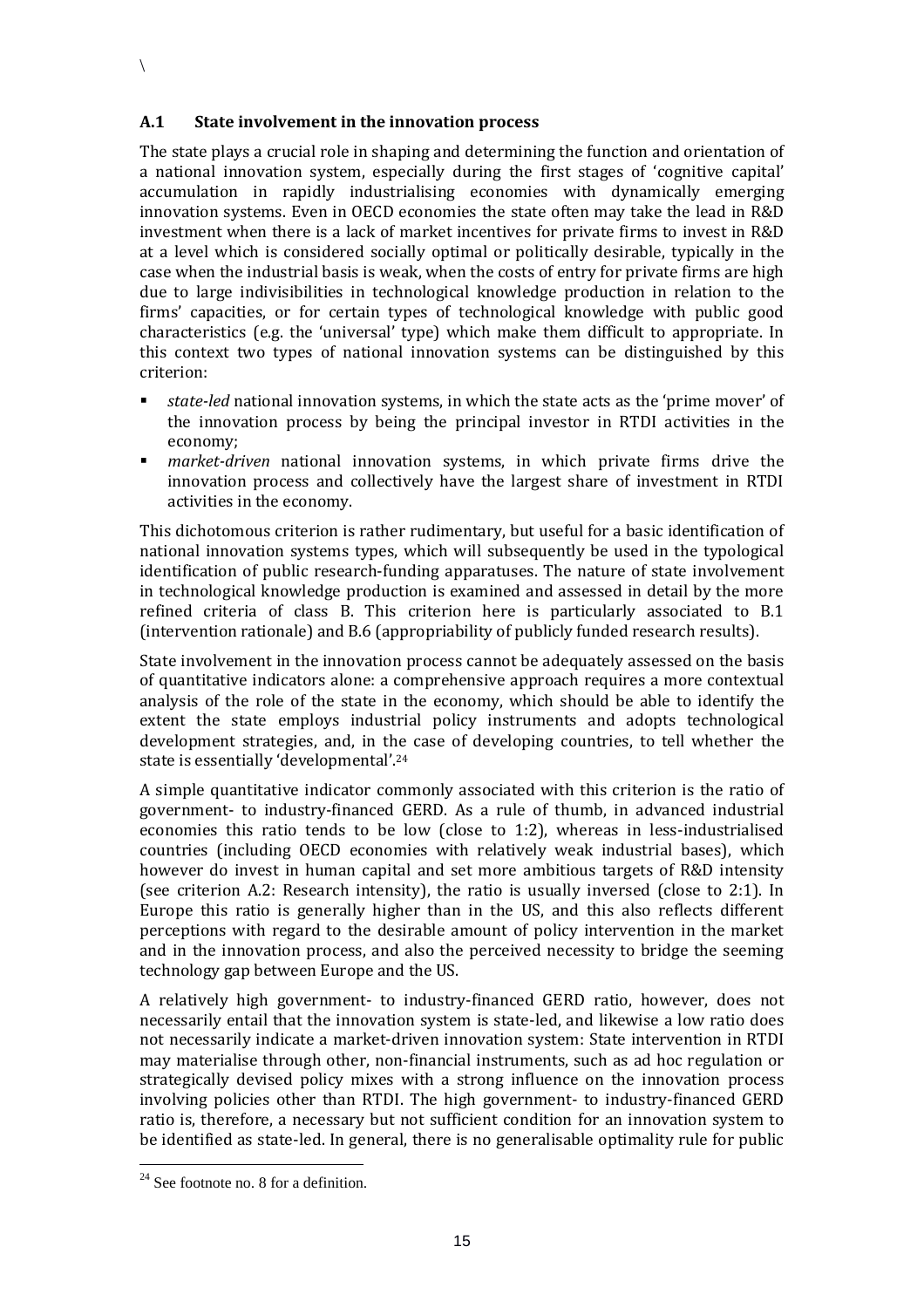$\setminus$ 

The state plays a crucial role in shaping and determining the function and orientation of a national innovation system, especially during the first stages of 'cognitive capital' accumulation in rapidly industrialising economies with dynamically emerging innovation systems. Even in OECD economies the state often may take the lead in R&D investment when there is a lack of market incentives for private firms to invest in R&D at a level which is considered socially optimal or politically desirable, typically in the case when the industrial basis is weak, when the costs of entry for private firms are high due to large indivisibilities in technological knowledge production in relation to the firms' capacities, or for certain types of technological knowledge with public good characteristics (e.g. the 'universal' type) which make them difficult to appropriate. In this context two types of national innovation systems can be distinguished by this criterion:

- *state-led* national innovation systems, in which the state acts as the 'prime mover' of the innovation process by being the principal investor in RTDI activities in the economy;
- *market-driven* national innovation systems, in which private firms drive the innovation process and collectively have the largest share of investment in RTDI activities in the economy.

This dichotomous criterion is rather rudimentary, but useful for a basic identification of national innovation systems types, which will subsequently be used in the typological identification of public research-funding apparatuses. The nature of state involvement in technological knowledge production is examined and assessed in detail by the more refined criteria of class B. This criterion here is particularly associated to B.1 (intervention rationale) and B.6 (appropriability of publicly funded research results).

State involvement in the innovation process cannot be adequately assessed on the basis of quantitative indicators alone: a comprehensive approach requires a more contextual analysis of the role of the state in the economy, which should be able to identify the extent the state employs industrial policy instruments and adopts technological development strategies, and, in the case of developing countries, to tell whether the state is essentially 'developmental'. 24

A simple quantitative indicator commonly associated with this criterion is the ratio of government- to industry-financed GERD. As a rule of thumb, in advanced industrial economies this ratio tends to be low (close to 1:2), whereas in less-industrialised countries (including OECD economies with relatively weak industrial bases), which however do invest in human capital and set more ambitious targets of R&D intensity (see criterion A.2: Research intensity), the ratio is usually inversed (close to 2:1). In Europe this ratio is generally higher than in the US, and this also reflects different perceptions with regard to the desirable amount of policy intervention in the market and in the innovation process, and also the perceived necessity to bridge the seeming technology gap between Europe and the US.

A relatively high government- to industry-financed GERD ratio, however, does not necessarily entail that the innovation system is state-led, and likewise a low ratio does not necessarily indicate a market-driven innovation system: State intervention in RTDI may materialise through other, non-financial instruments, such as ad hoc regulation or strategically devised policy mixes with a strong influence on the innovation process involving policies other than RTDI. The high government- to industry-financed GERD ratio is, therefore, a necessary but not sufficient condition for an innovation system to be identified as state-led. In general, there is no generalisable optimality rule for public

 $24$  See footnote no. 8 for a definition.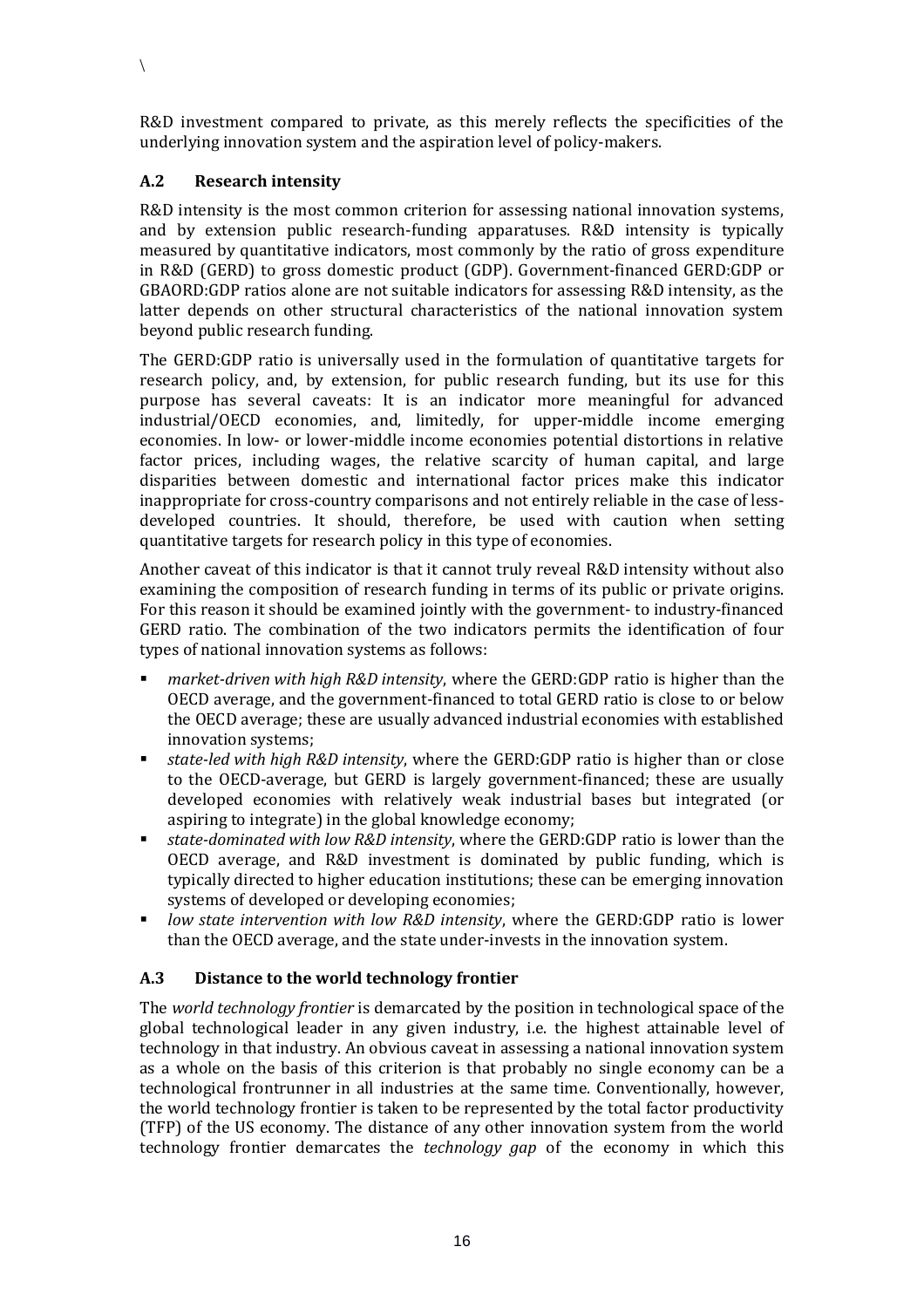R&D investment compared to private, as this merely reflects the specificities of the underlying innovation system and the aspiration level of policy-makers.

#### **A.2 Research intensity**

 $\setminus$ 

R&D intensity is the most common criterion for assessing national innovation systems, and by extension public research-funding apparatuses. R&D intensity is typically measured by quantitative indicators, most commonly by the ratio of gross expenditure in R&D (GERD) to gross domestic product (GDP). Government-financed GERD:GDP or GBAORD:GDP ratios alone are not suitable indicators for assessing R&D intensity, as the latter depends on other structural characteristics of the national innovation system beyond public research funding.

The GERD:GDP ratio is universally used in the formulation of quantitative targets for research policy, and, by extension, for public research funding, but its use for this purpose has several caveats: It is an indicator more meaningful for advanced industrial/OECD economies, and, limitedly, for upper-middle income emerging economies. In low- or lower-middle income economies potential distortions in relative factor prices, including wages, the relative scarcity of human capital, and large disparities between domestic and international factor prices make this indicator inappropriate for cross-country comparisons and not entirely reliable in the case of lessdeveloped countries. It should, therefore, be used with caution when setting quantitative targets for research policy in this type of economies.

Another caveat of this indicator is that it cannot truly reveal R&D intensity without also examining the composition of research funding in terms of its public or private origins. For this reason it should be examined jointly with the government- to industry-financed GERD ratio. The combination of the two indicators permits the identification of four types of national innovation systems as follows:

- *market-driven with high R&D intensity*, where the GERD:GDP ratio is higher than the OECD average, and the government-financed to total GERD ratio is close to or below the OECD average; these are usually advanced industrial economies with established innovation systems;
- *state-led with high R&D intensity*, where the GERD:GDP ratio is higher than or close to the OECD-average, but GERD is largely government-financed; these are usually developed economies with relatively weak industrial bases but integrated (or aspiring to integrate) in the global knowledge economy;
- *state-dominated with low R&D intensity*, where the GERD:GDP ratio is lower than the OECD average, and R&D investment is dominated by public funding, which is typically directed to higher education institutions; these can be emerging innovation systems of developed or developing economies;
- *low state intervention with low R&D intensity*, where the GERD:GDP ratio is lower than the OECD average, and the state under-invests in the innovation system.

#### **A.3 Distance to the world technology frontier**

The *world technology frontier* is demarcated by the position in technological space of the global technological leader in any given industry, i.e. the highest attainable level of technology in that industry. An obvious caveat in assessing a national innovation system as a whole on the basis of this criterion is that probably no single economy can be a technological frontrunner in all industries at the same time. Conventionally, however, the world technology frontier is taken to be represented by the total factor productivity (TFP) of the US economy. The distance of any other innovation system from the world technology frontier demarcates the *technology gap* of the economy in which this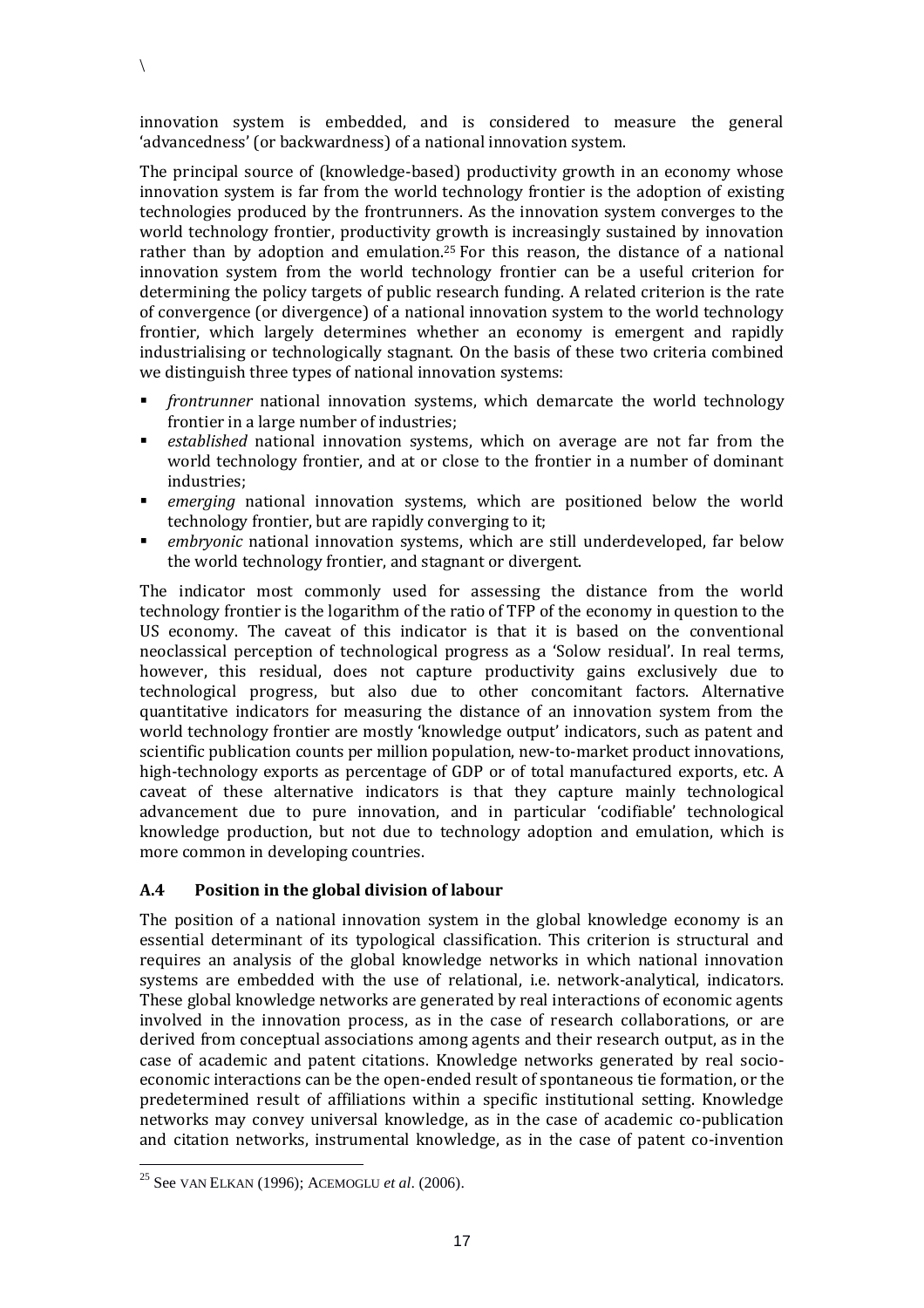innovation system is embedded, and is considered to measure the general 'advancedness' (or backwardness) of a national innovation system.

 $\setminus$ 

The principal source of (knowledge-based) productivity growth in an economy whose innovation system is far from the world technology frontier is the adoption of existing technologies produced by the frontrunners. As the innovation system converges to the world technology frontier, productivity growth is increasingly sustained by innovation rather than by adoption and emulation.<sup>25</sup> For this reason, the distance of a national innovation system from the world technology frontier can be a useful criterion for determining the policy targets of public research funding. A related criterion is the rate of convergence (or divergence) of a national innovation system to the world technology frontier, which largely determines whether an economy is emergent and rapidly industrialising or technologically stagnant. On the basis of these two criteria combined we distinguish three types of national innovation systems:

- *frontrunner* national innovation systems, which demarcate the world technology frontier in a large number of industries;
- *established* national innovation systems, which on average are not far from the world technology frontier, and at or close to the frontier in a number of dominant industries;
- *emerging* national innovation systems, which are positioned below the world technology frontier, but are rapidly converging to it;
- *embryonic* national innovation systems, which are still underdeveloped, far below the world technology frontier, and stagnant or divergent.

The indicator most commonly used for assessing the distance from the world technology frontier is the logarithm of the ratio of TFP of the economy in question to the US economy. The caveat of this indicator is that it is based on the conventional neoclassical perception of technological progress as a 'Solow residual'. In real terms, however, this residual, does not capture productivity gains exclusively due to technological progress, but also due to other concomitant factors. Alternative quantitative indicators for measuring the distance of an innovation system from the world technology frontier are mostly 'knowledge output' indicators, such as patent and scientific publication counts per million population, new-to-market product innovations, high-technology exports as percentage of GDP or of total manufactured exports, etc. A caveat of these alternative indicators is that they capture mainly technological advancement due to pure innovation, and in particular 'codifiable' technological knowledge production, but not due to technology adoption and emulation, which is more common in developing countries.

#### **A.4 Position in the global division of labour**

The position of a national innovation system in the global knowledge economy is an essential determinant of its typological classification. This criterion is structural and requires an analysis of the global knowledge networks in which national innovation systems are embedded with the use of relational, i.e. network-analytical, indicators. These global knowledge networks are generated by real interactions of economic agents involved in the innovation process, as in the case of research collaborations, or are derived from conceptual associations among agents and their research output, as in the case of academic and patent citations. Knowledge networks generated by real socioeconomic interactions can be the open-ended result of spontaneous tie formation, or the predetermined result of affiliations within a specific institutional setting. Knowledge networks may convey universal knowledge, as in the case of academic co-publication and citation networks, instrumental knowledge, as in the case of patent co-invention

<sup>25</sup> See VAN ELKAN (1996); ACEMOGLU *et al*. (2006).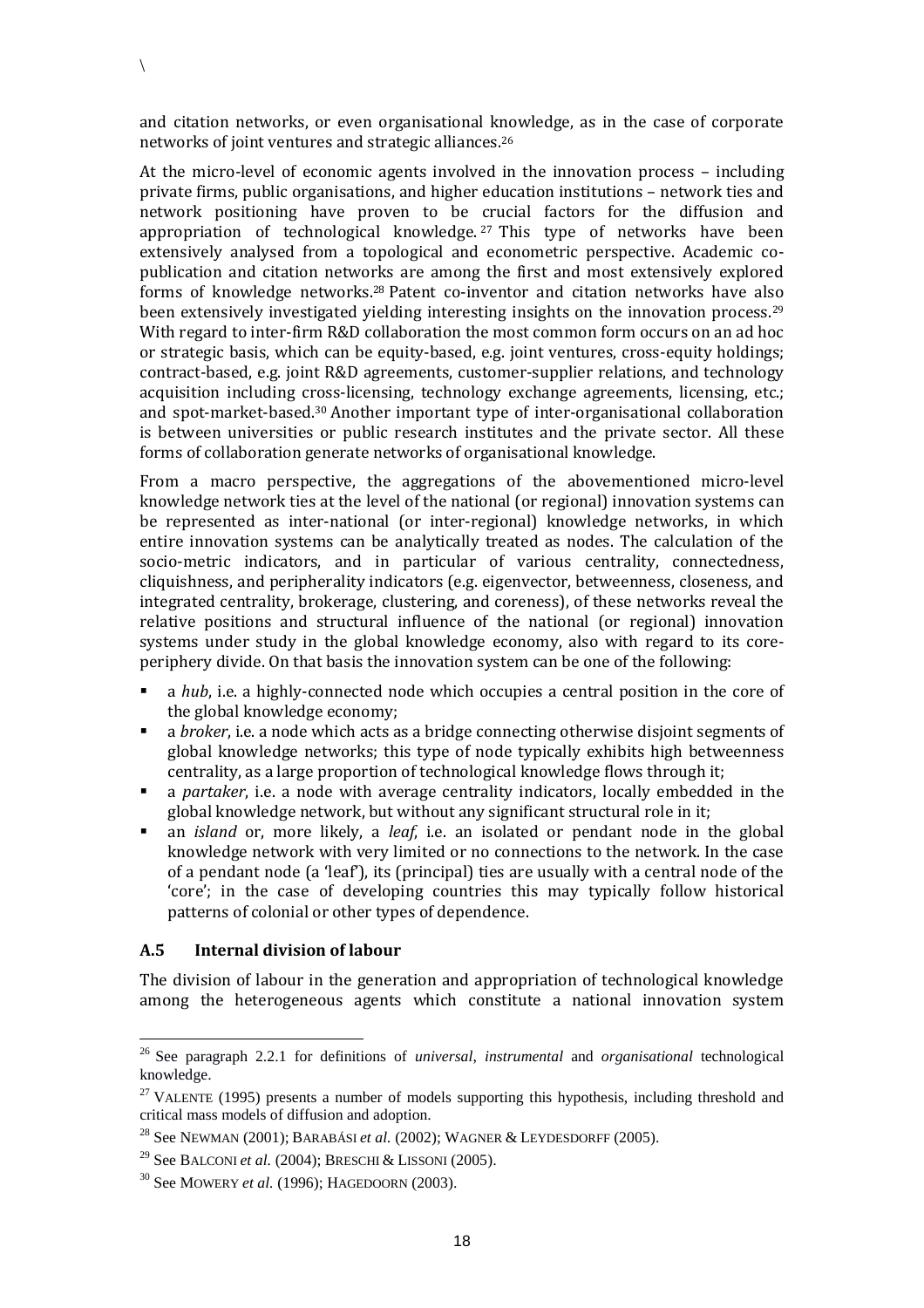and citation networks, or even organisational knowledge, as in the case of corporate networks of joint ventures and strategic alliances.<sup>26</sup>

At the micro-level of economic agents involved in the innovation process – including private firms, public organisations, and higher education institutions – network ties and network positioning have proven to be crucial factors for the diffusion and appropriation of technological knowledge.  $27$  This type of networks have been extensively analysed from a topological and econometric perspective. Academic copublication and citation networks are among the first and most extensively explored forms of knowledge networks.<sup>28</sup> Patent co-inventor and citation networks have also been extensively investigated yielding interesting insights on the innovation process.<sup>29</sup> With regard to inter-firm R&D collaboration the most common form occurs on an ad hoc or strategic basis, which can be equity-based, e.g. joint ventures, cross-equity holdings; contract-based, e.g. joint R&D agreements, customer-supplier relations, and technology acquisition including cross-licensing, technology exchange agreements, licensing, etc.; and spot-market-based.<sup>30</sup> Another important type of inter-organisational collaboration is between universities or public research institutes and the private sector. All these forms of collaboration generate networks of organisational knowledge.

From a macro perspective, the aggregations of the abovementioned micro-level knowledge network ties at the level of the national (or regional) innovation systems can be represented as inter-national (or inter-regional) knowledge networks, in which entire innovation systems can be analytically treated as nodes. The calculation of the socio-metric indicators, and in particular of various centrality, connectedness, cliquishness, and peripherality indicators (e.g. eigenvector, betweenness, closeness, and integrated centrality, brokerage, clustering, and coreness), of these networks reveal the relative positions and structural influence of the national (or regional) innovation systems under study in the global knowledge economy, also with regard to its coreperiphery divide. On that basis the innovation system can be one of the following:

- a *hub*, i.e. a highly-connected node which occupies a central position in the core of the global knowledge economy;
- a *broker*, i.e. a node which acts as a bridge connecting otherwise disjoint segments of global knowledge networks; this type of node typically exhibits high betweenness centrality, as a large proportion of technological knowledge flows through it;
- a *partaker*, i.e. a node with average centrality indicators, locally embedded in the global knowledge network, but without any significant structural role in it;
- an *island* or, more likely, a *leaf*, i.e. an isolated or pendant node in the global knowledge network with very limited or no connections to the network. In the case of a pendant node (a 'leaf'), its (principal) ties are usually with a central node of the 'core'; in the case of developing countries this may typically follow historical patterns of colonial or other types of dependence.

#### **A.5 Internal division of labour**

 $\overline{a}$ 

 $\setminus$ 

The division of labour in the generation and appropriation of technological knowledge among the heterogeneous agents which constitute a national innovation system

<sup>26</sup> See paragraph 2.2.1 for definitions of *universal*, *instrumental* and *organisational* technological knowledge.

<sup>&</sup>lt;sup>27</sup> VALENTE (1995) presents a number of models supporting this hypothesis, including threshold and critical mass models of diffusion and adoption.

<sup>28</sup> See NEWMAN (2001); BARABÁSI *et al.* (2002); WAGNER & LEYDESDORFF (2005).

<sup>29</sup> See BALCONI *et al.* (2004); BRESCHI & LISSONI (2005).

<sup>30</sup> See MOWERY *et al.* (1996); HAGEDOORN (2003).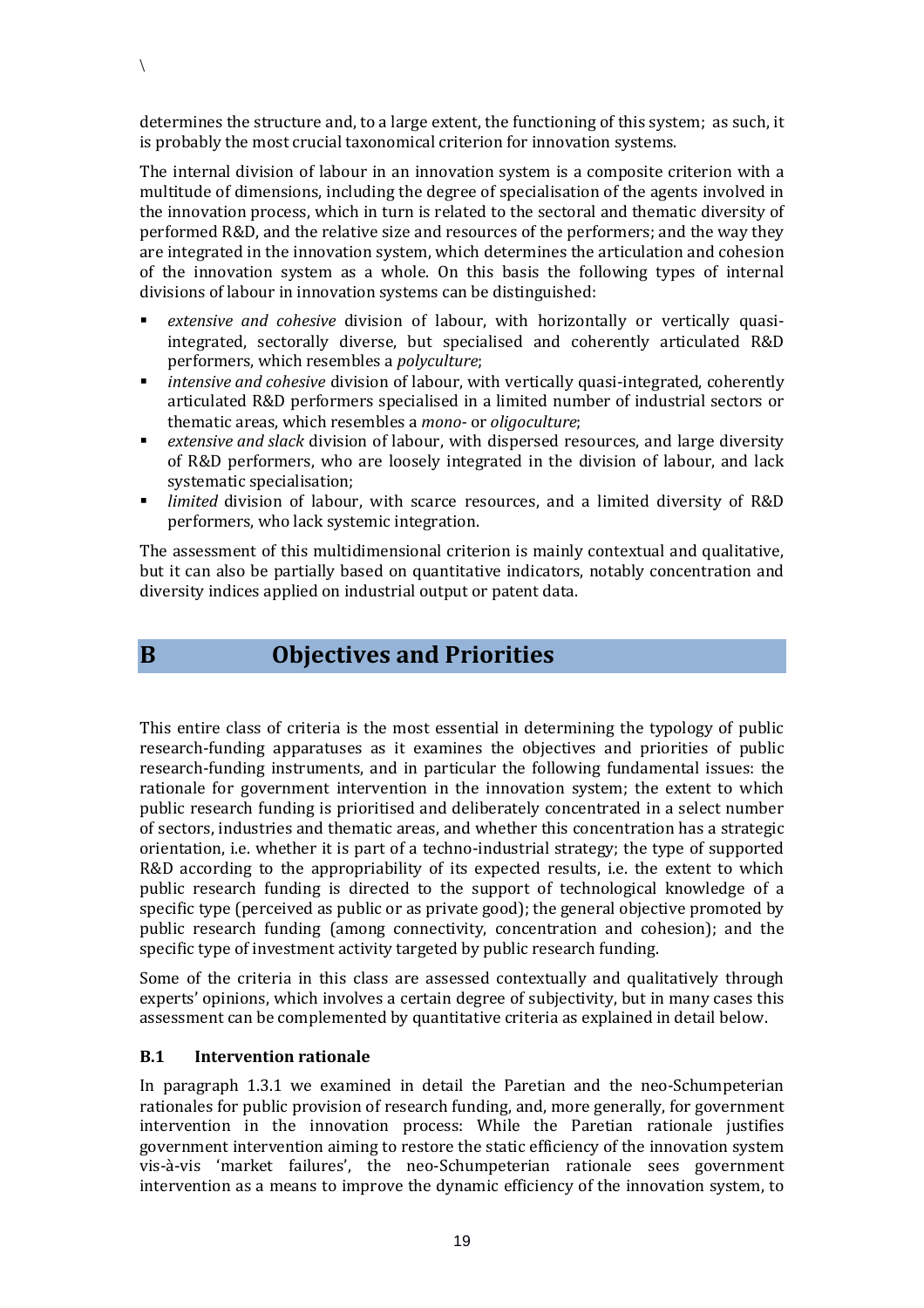determines the structure and, to a large extent, the functioning of this system; as such, it is probably the most crucial taxonomical criterion for innovation systems.

The internal division of labour in an innovation system is a composite criterion with a multitude of dimensions, including the degree of specialisation of the agents involved in the innovation process, which in turn is related to the sectoral and thematic diversity of performed R&D, and the relative size and resources of the performers; and the way they are integrated in the innovation system, which determines the articulation and cohesion of the innovation system as a whole. On this basis the following types of internal divisions of labour in innovation systems can be distinguished:

- *extensive and cohesive* division of labour, with horizontally or vertically quasiintegrated, sectorally diverse, but specialised and coherently articulated R&D performers, which resembles a *polyculture*;
- *intensive and cohesive* division of labour, with vertically quasi-integrated, coherently articulated R&D performers specialised in a limited number of industrial sectors or thematic areas, which resembles a *mono-* or *oligoculture*;
- *extensive and slack* division of labour, with dispersed resources, and large diversity of R&D performers, who are loosely integrated in the division of labour, and lack systematic specialisation;
- *limited* division of labour, with scarce resources, and a limited diversity of R&D performers, who lack systemic integration.

The assessment of this multidimensional criterion is mainly contextual and qualitative, but it can also be partially based on quantitative indicators, notably concentration and diversity indices applied on industrial output or patent data.

 $\setminus$ 

## **B Objectives and Priorities**

This entire class of criteria is the most essential in determining the typology of public research-funding apparatuses as it examines the objectives and priorities of public research-funding instruments, and in particular the following fundamental issues: the rationale for government intervention in the innovation system; the extent to which public research funding is prioritised and deliberately concentrated in a select number of sectors, industries and thematic areas, and whether this concentration has a strategic orientation, i.e. whether it is part of a techno-industrial strategy; the type of supported R&D according to the appropriability of its expected results, i.e. the extent to which public research funding is directed to the support of technological knowledge of a specific type (perceived as public or as private good); the general objective promoted by public research funding (among connectivity, concentration and cohesion); and the specific type of investment activity targeted by public research funding.

Some of the criteria in this class are assessed contextually and qualitatively through experts' opinions, which involves a certain degree of subjectivity, but in many cases this assessment can be complemented by quantitative criteria as explained in detail below.

#### **B.1 Intervention rationale**

In paragraph [1.3.1](#page-9-0) we examined in detail the Paretian and the neo-Schumpeterian rationales for public provision of research funding, and, more generally, for government intervention in the innovation process: While the Paretian rationale justifies government intervention aiming to restore the static efficiency of the innovation system vis-à-vis 'market failures', the neo-Schumpeterian rationale sees government intervention as a means to improve the dynamic efficiency of the innovation system, to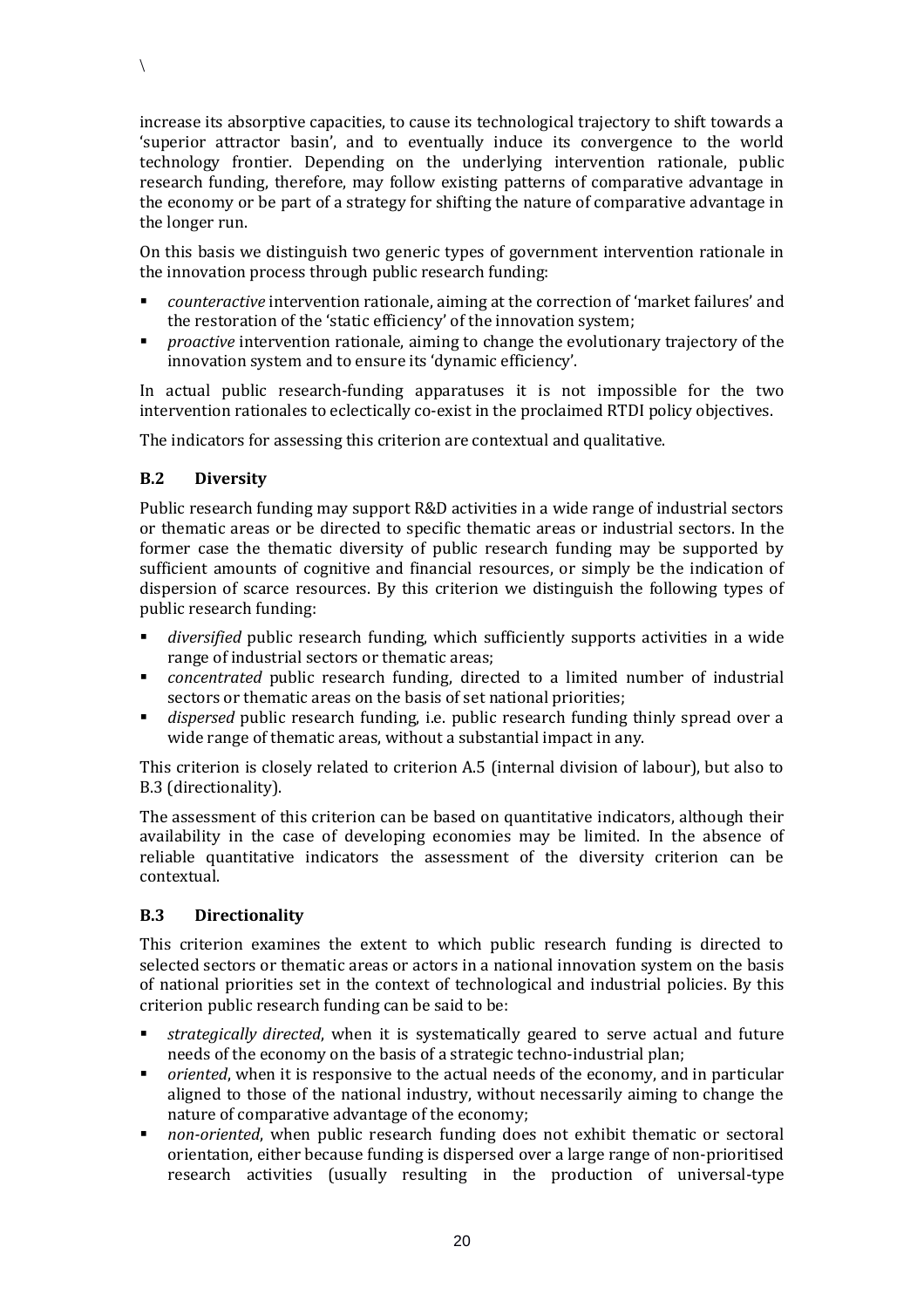increase its absorptive capacities, to cause its technological trajectory to shift towards a 'superior attractor basin', and to eventually induce its convergence to the world technology frontier. Depending on the underlying intervention rationale, public research funding, therefore, may follow existing patterns of comparative advantage in the economy or be part of a strategy for shifting the nature of comparative advantage in the longer run.

On this basis we distinguish two generic types of government intervention rationale in the innovation process through public research funding:

- *counteractive* intervention rationale, aiming at the correction of 'market failures' and the restoration of the 'static efficiency' of the innovation system;
- **Proactive intervention rationale, aiming to change the evolutionary trajectory of the** innovation system and to ensure its 'dynamic efficiency'.

In actual public research-funding apparatuses it is not impossible for the two intervention rationales to eclectically co-exist in the proclaimed RTDI policy objectives.

The indicators for assessing this criterion are contextual and qualitative.

#### **B.2 Diversity**

 $\setminus$ 

Public research funding may support R&D activities in a wide range of industrial sectors or thematic areas or be directed to specific thematic areas or industrial sectors. In the former case the thematic diversity of public research funding may be supported by sufficient amounts of cognitive and financial resources, or simply be the indication of dispersion of scarce resources. By this criterion we distinguish the following types of public research funding:

- *diversified* public research funding, which sufficiently supports activities in a wide range of industrial sectors or thematic areas;
- *concentrated* public research funding, directed to a limited number of industrial sectors or thematic areas on the basis of set national priorities;
- *dispersed* public research funding, i.e. public research funding thinly spread over a wide range of thematic areas, without a substantial impact in any.

This criterion is closely related to criterion A.5 (internal division of labour), but also to B.3 (directionality).

The assessment of this criterion can be based on quantitative indicators, although their availability in the case of developing economies may be limited. In the absence of reliable quantitative indicators the assessment of the diversity criterion can be contextual.

#### **B.3 Directionality**

This criterion examines the extent to which public research funding is directed to selected sectors or thematic areas or actors in a national innovation system on the basis of national priorities set in the context of technological and industrial policies. By this criterion public research funding can be said to be:

- *strategically directed*, when it is systematically geared to serve actual and future needs of the economy on the basis of a strategic techno-industrial plan;
- *oriented*, when it is responsive to the actual needs of the economy, and in particular aligned to those of the national industry, without necessarily aiming to change the nature of comparative advantage of the economy;
- *non-oriented*, when public research funding does not exhibit thematic or sectoral orientation, either because funding is dispersed over a large range of non-prioritised research activities (usually resulting in the production of universal-type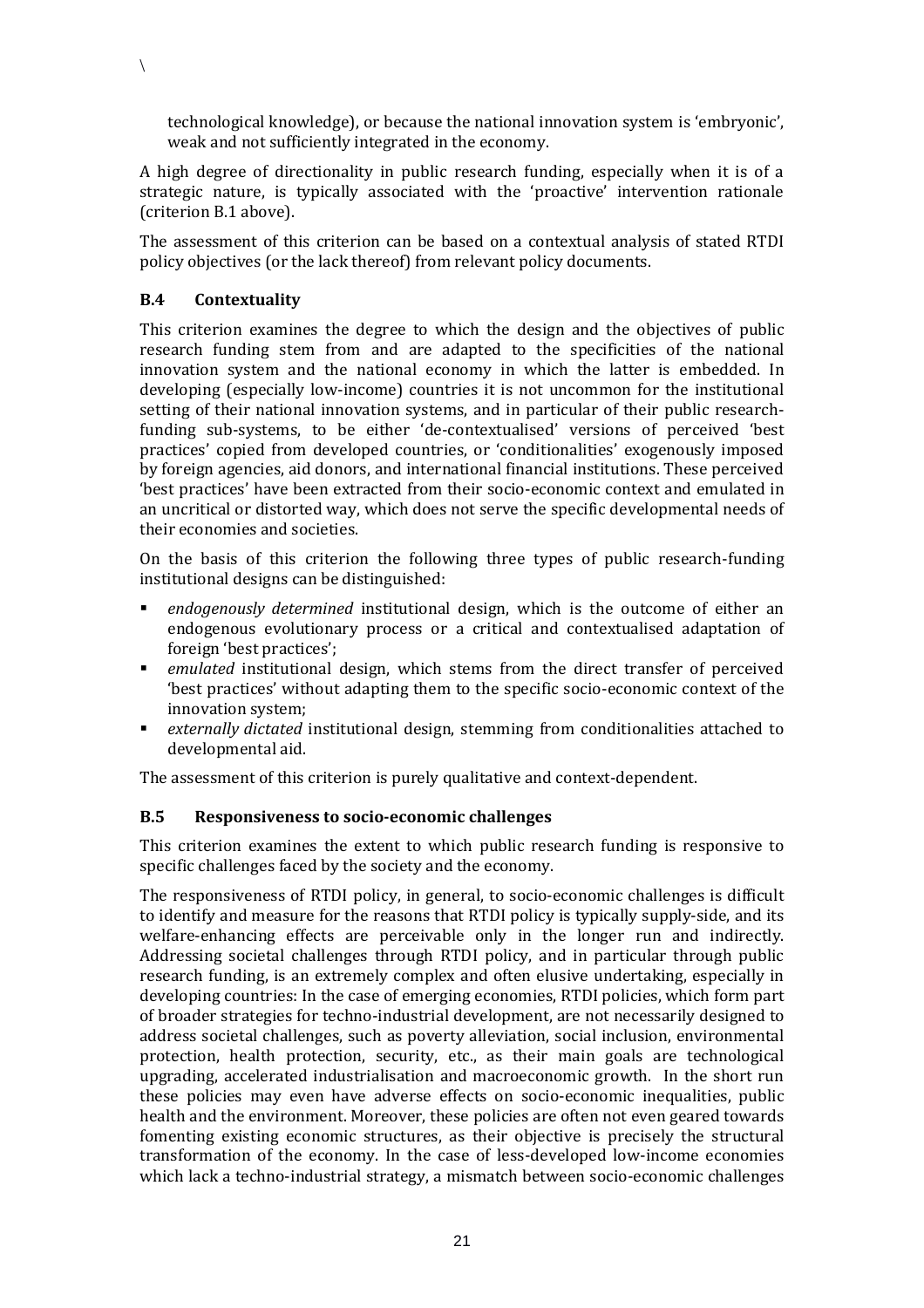technological knowledge), or because the national innovation system is 'embryonic', weak and not sufficiently integrated in the economy.

A high degree of directionality in public research funding, especially when it is of a strategic nature, is typically associated with the 'proactive' intervention rationale (criterion B.1 above).

The assessment of this criterion can be based on a contextual analysis of stated RTDI policy objectives (or the lack thereof) from relevant policy documents.

#### **B.4 Contextuality**

 $\setminus$ 

This criterion examines the degree to which the design and the objectives of public research funding stem from and are adapted to the specificities of the national innovation system and the national economy in which the latter is embedded. In developing (especially low-income) countries it is not uncommon for the institutional setting of their national innovation systems, and in particular of their public researchfunding sub-systems, to be either 'de-contextualised' versions of perceived 'best practices' copied from developed countries, or 'conditionalities' exogenously imposed by foreign agencies, aid donors, and international financial institutions. These perceived 'best practices' have been extracted from their socio-economic context and emulated in an uncritical or distorted way, which does not serve the specific developmental needs of their economies and societies.

On the basis of this criterion the following three types of public research-funding institutional designs can be distinguished:

- *endogenously determined* institutional design, which is the outcome of either an endogenous evolutionary process or a critical and contextualised adaptation of foreign 'best practices';
- *emulated* institutional design, which stems from the direct transfer of perceived 'best practices' without adapting them to the specific socio-economic context of the innovation system;
- *externally dictated* institutional design, stemming from conditionalities attached to developmental aid.

The assessment of this criterion is purely qualitative and context-dependent.

#### **B.5 Responsiveness to socio-economic challenges**

This criterion examines the extent to which public research funding is responsive to specific challenges faced by the society and the economy.

The responsiveness of RTDI policy, in general, to socio-economic challenges is difficult to identify and measure for the reasons that RTDI policy is typically supply-side, and its welfare-enhancing effects are perceivable only in the longer run and indirectly. Addressing societal challenges through RTDI policy, and in particular through public research funding, is an extremely complex and often elusive undertaking, especially in developing countries: In the case of emerging economies, RTDI policies, which form part of broader strategies for techno-industrial development, are not necessarily designed to address societal challenges, such as poverty alleviation, social inclusion, environmental protection, health protection, security, etc., as their main goals are technological upgrading, accelerated industrialisation and macroeconomic growth. In the short run these policies may even have adverse effects on socio-economic inequalities, public health and the environment. Moreover, these policies are often not even geared towards fomenting existing economic structures, as their objective is precisely the structural transformation of the economy. In the case of less-developed low-income economies which lack a techno-industrial strategy, a mismatch between socio-economic challenges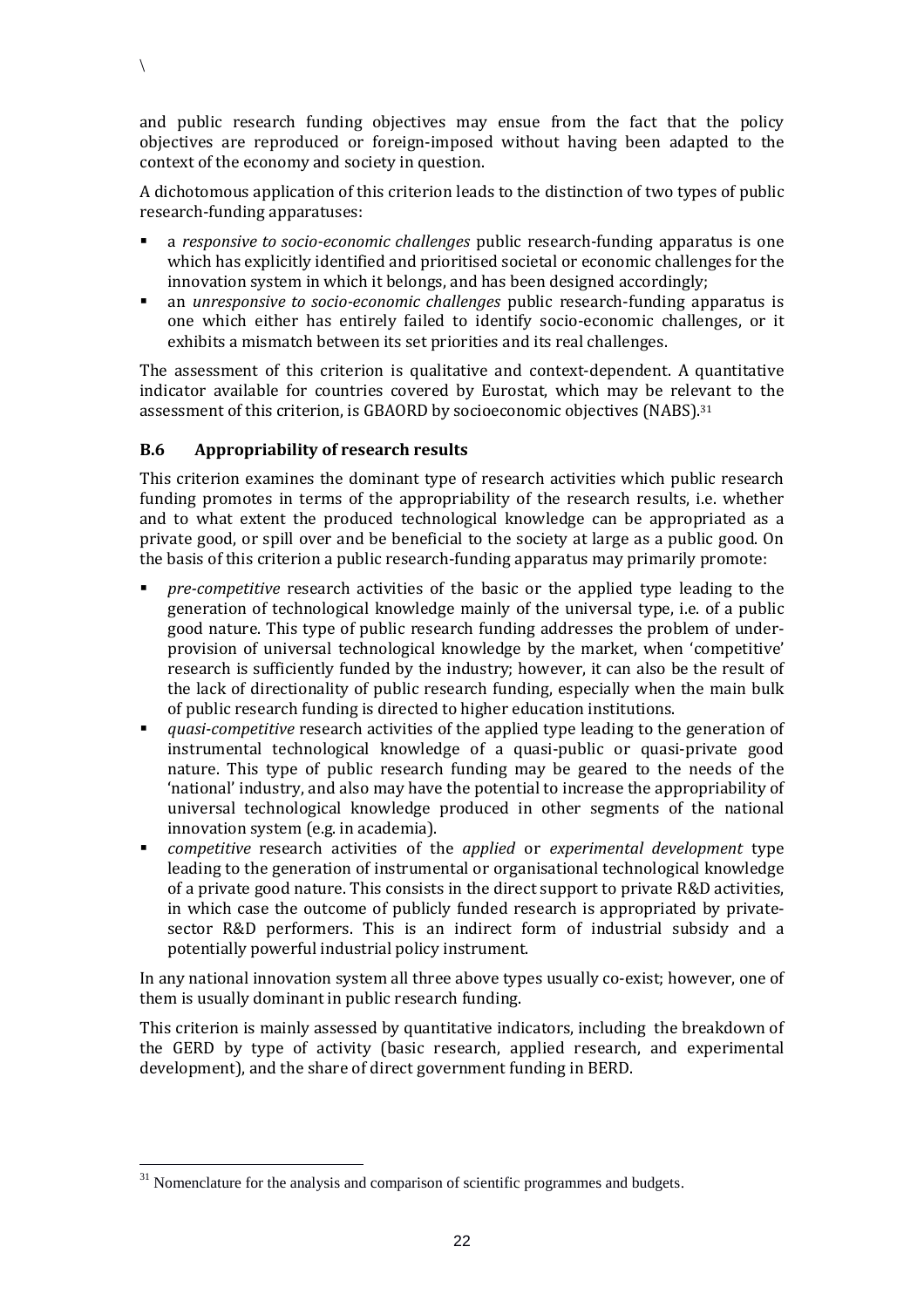and public research funding objectives may ensue from the fact that the policy objectives are reproduced or foreign-imposed without having been adapted to the context of the economy and society in question.

A dichotomous application of this criterion leads to the distinction of two types of public research-funding apparatuses:

- a *responsive to socio-economic challenges* public research-funding apparatus is one which has explicitly identified and prioritised societal or economic challenges for the innovation system in which it belongs, and has been designed accordingly;
- an *unresponsive to socio-economic challenges* public research-funding apparatus is one which either has entirely failed to identify socio-economic challenges, or it exhibits a mismatch between its set priorities and its real challenges.

The assessment of this criterion is qualitative and context-dependent. A quantitative indicator available for countries covered by Eurostat, which may be relevant to the assessment of this criterion, is GBAORD by socioeconomic objectives (NABS). 31

#### **B.6 Appropriability of research results**

 $\setminus$ 

This criterion examines the dominant type of research activities which public research funding promotes in terms of the appropriability of the research results, i.e. whether and to what extent the produced technological knowledge can be appropriated as a private good, or spill over and be beneficial to the society at large as a public good. On the basis of this criterion a public research-funding apparatus may primarily promote:

- *pre-competitive* research activities of the basic or the applied type leading to the generation of technological knowledge mainly of the universal type, i.e. of a public good nature. This type of public research funding addresses the problem of underprovision of universal technological knowledge by the market, when 'competitive' research is sufficiently funded by the industry; however, it can also be the result of the lack of directionality of public research funding, especially when the main bulk of public research funding is directed to higher education institutions.
- *quasi-competitive* research activities of the applied type leading to the generation of instrumental technological knowledge of a quasi-public or quasi-private good nature. This type of public research funding may be geared to the needs of the 'national' industry, and also may have the potential to increase the appropriability of universal technological knowledge produced in other segments of the national innovation system (e.g. in academia).
- *competitive* research activities of the *applied* or *experimental development* type leading to the generation of instrumental or organisational technological knowledge of a private good nature. This consists in the direct support to private R&D activities, in which case the outcome of publicly funded research is appropriated by privatesector R&D performers. This is an indirect form of industrial subsidy and a potentially powerful industrial policy instrument.

In any national innovation system all three above types usually co-exist; however, one of them is usually dominant in public research funding.

This criterion is mainly assessed by quantitative indicators, including the breakdown of the GERD by type of activity (basic research, applied research, and experimental development), and the share of direct government funding in BERD.

 $31$  Nomenclature for the analysis and comparison of scientific programmes and budgets.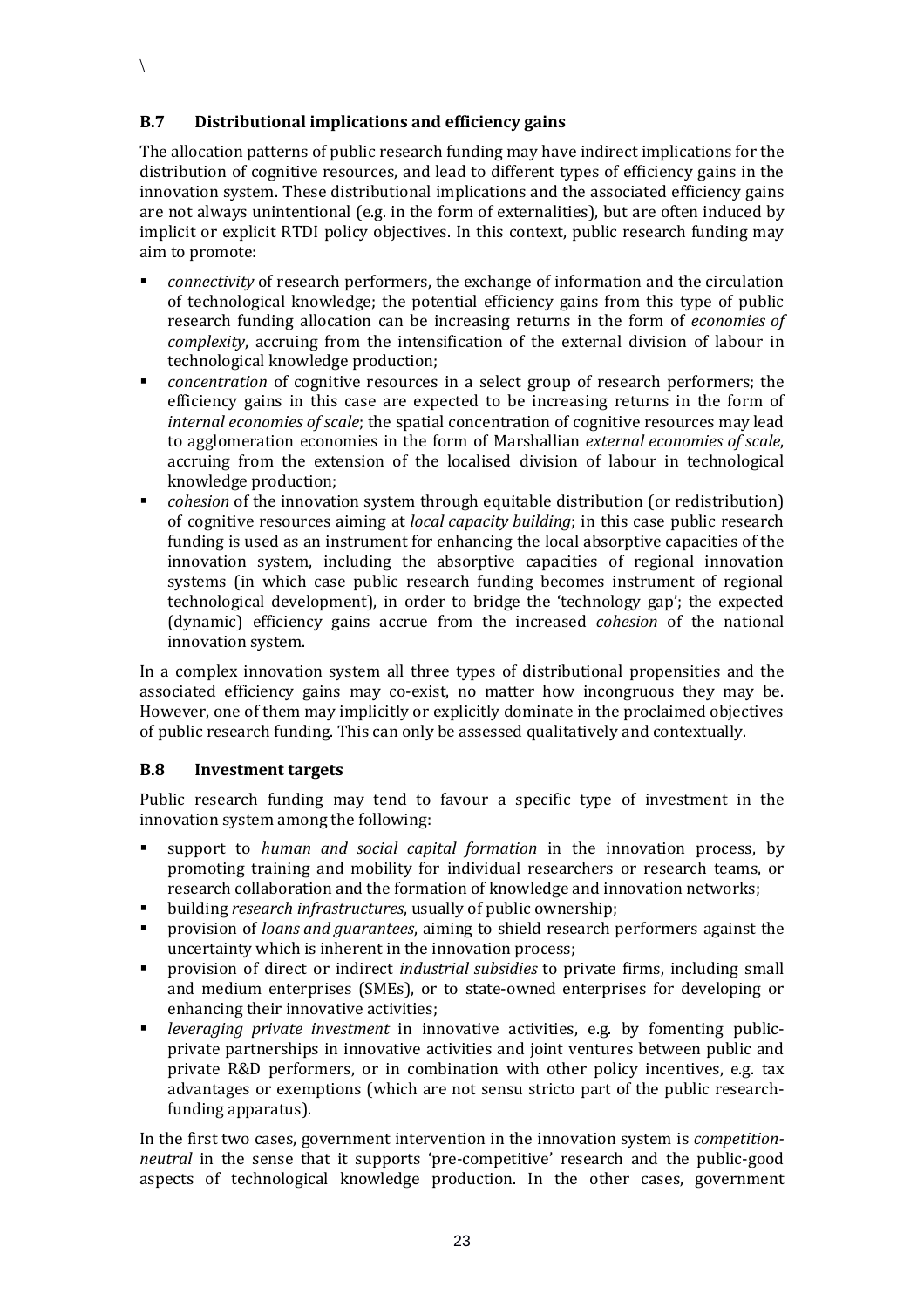#### **B.7 Distributional implications and efficiency gains**

The allocation patterns of public research funding may have indirect implications for the distribution of cognitive resources, and lead to different types of efficiency gains in the innovation system. These distributional implications and the associated efficiency gains are not always unintentional (e.g. in the form of externalities), but are often induced by implicit or explicit RTDI policy objectives. In this context, public research funding may aim to promote:

- *connectivity* of research performers, the exchange of information and the circulation of technological knowledge; the potential efficiency gains from this type of public research funding allocation can be increasing returns in the form of *economies of complexity*, accruing from the intensification of the external division of labour in technological knowledge production;
- *concentration* of cognitive resources in a select group of research performers; the efficiency gains in this case are expected to be increasing returns in the form of *internal economies of scale*; the spatial concentration of cognitive resources may lead to agglomeration economies in the form of Marshallian *external economies of scale*, accruing from the extension of the localised division of labour in technological knowledge production;
- *cohesion* of the innovation system through equitable distribution (or redistribution) of cognitive resources aiming at *local capacity building*; in this case public research funding is used as an instrument for enhancing the local absorptive capacities of the innovation system, including the absorptive capacities of regional innovation systems (in which case public research funding becomes instrument of regional technological development), in order to bridge the 'technology gap'; the expected (dynamic) efficiency gains accrue from the increased *cohesion* of the national innovation system.

In a complex innovation system all three types of distributional propensities and the associated efficiency gains may co-exist, no matter how incongruous they may be. However, one of them may implicitly or explicitly dominate in the proclaimed objectives of public research funding. This can only be assessed qualitatively and contextually.

#### **B.8 Investment targets**

Public research funding may tend to favour a specific type of investment in the innovation system among the following:

- support to *human and social capital formation* in the innovation process, by promoting training and mobility for individual researchers or research teams, or research collaboration and the formation of knowledge and innovation networks;
- building *research infrastructures*, usually of public ownership;
- provision of *loans and guarantees*, aiming to shield research performers against the uncertainty which is inherent in the innovation process;
- provision of direct or indirect *industrial subsidies* to private firms, including small and medium enterprises (SMEs), or to state-owned enterprises for developing or enhancing their innovative activities;
- *leveraging private investment* in innovative activities, e.g. by fomenting publicprivate partnerships in innovative activities and joint ventures between public and private R&D performers, or in combination with other policy incentives, e.g. tax advantages or exemptions (which are not sensu stricto part of the public researchfunding apparatus).

In the first two cases, government intervention in the innovation system is *competitionneutral* in the sense that it supports 'pre-competitive' research and the public-good aspects of technological knowledge production. In the other cases, government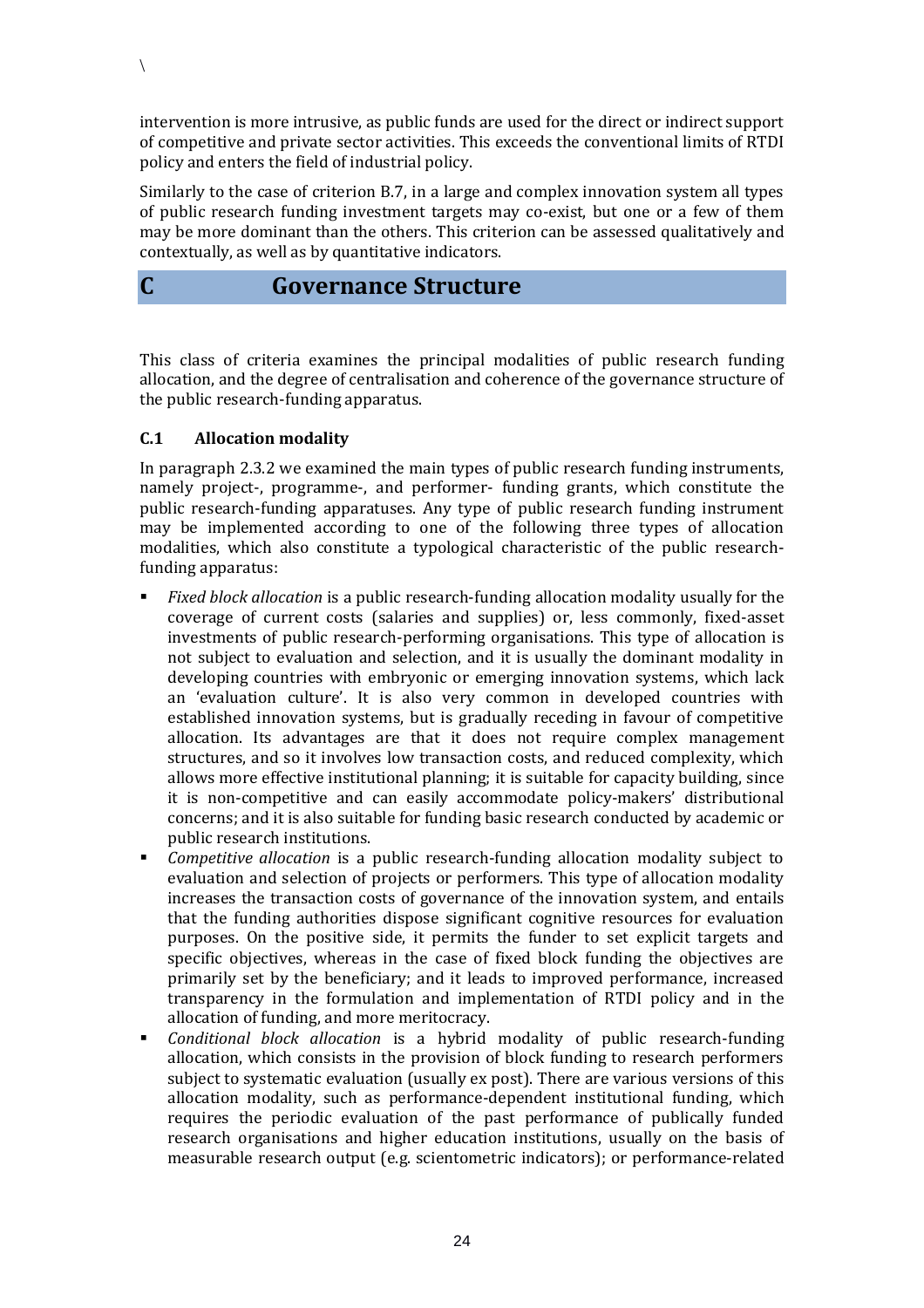intervention is more intrusive, as public funds are used for the direct or indirect support of competitive and private sector activities. This exceeds the conventional limits of RTDI policy and enters the field of industrial policy.

Similarly to the case of criterion B.7, in a large and complex innovation system all types of public research funding investment targets may co-exist, but one or a few of them may be more dominant than the others. This criterion can be assessed qualitatively and contextually, as well as by quantitative indicators.

### **C Governance Structure**

This class of criteria examines the principal modalities of public research funding allocation, and the degree of centralisation and coherence of the governance structure of the public research-funding apparatus.

#### **C.1 Allocation modality**

 $\setminus$ 

In paragraph 2.3.2 we examined the main types of public research funding instruments, namely project-, programme-, and performer- funding grants, which constitute the public research-funding apparatuses. Any type of public research funding instrument may be implemented according to one of the following three types of allocation modalities, which also constitute a typological characteristic of the public researchfunding apparatus:

- *Fixed block allocation* is a public research-funding allocation modality usually for the coverage of current costs (salaries and supplies) or, less commonly, fixed-asset investments of public research-performing organisations. This type of allocation is not subject to evaluation and selection, and it is usually the dominant modality in developing countries with embryonic or emerging innovation systems, which lack an 'evaluation culture'. It is also very common in developed countries with established innovation systems, but is gradually receding in favour of competitive allocation. Its advantages are that it does not require complex management structures, and so it involves low transaction costs, and reduced complexity, which allows more effective institutional planning; it is suitable for capacity building, since it is non-competitive and can easily accommodate policy-makers' distributional concerns; and it is also suitable for funding basic research conducted by academic or public research institutions.
- *Competitive allocation* is a public research-funding allocation modality subject to evaluation and selection of projects or performers. This type of allocation modality increases the transaction costs of governance of the innovation system, and entails that the funding authorities dispose significant cognitive resources for evaluation purposes. On the positive side, it permits the funder to set explicit targets and specific objectives, whereas in the case of fixed block funding the objectives are primarily set by the beneficiary; and it leads to improved performance, increased transparency in the formulation and implementation of RTDI policy and in the allocation of funding, and more meritocracy.
- *Conditional block allocation* is a hybrid modality of public research-funding allocation, which consists in the provision of block funding to research performers subject to systematic evaluation (usually ex post). There are various versions of this allocation modality, such as performance-dependent institutional funding, which requires the periodic evaluation of the past performance of publically funded research organisations and higher education institutions, usually on the basis of measurable research output (e.g. scientometric indicators); or performance-related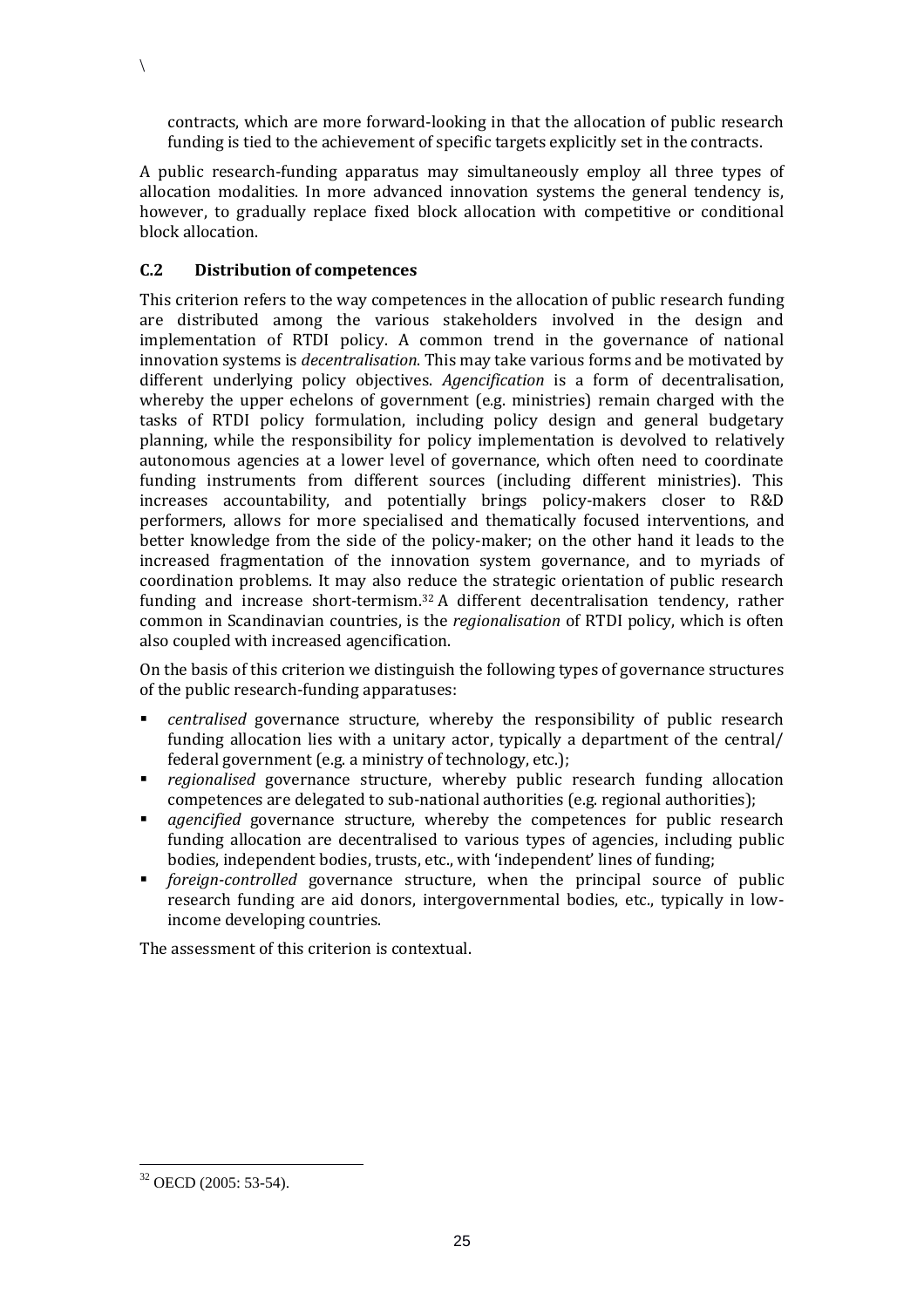contracts, which are more forward-looking in that the allocation of public research funding is tied to the achievement of specific targets explicitly set in the contracts.

A public research-funding apparatus may simultaneously employ all three types of allocation modalities. In more advanced innovation systems the general tendency is, however, to gradually replace fixed block allocation with competitive or conditional block allocation.

#### **C.2 Distribution of competences**

 $\setminus$ 

This criterion refers to the way competences in the allocation of public research funding are distributed among the various stakeholders involved in the design and implementation of RTDI policy. A common trend in the governance of national innovation systems is *decentralisation*. This may take various forms and be motivated by different underlying policy objectives. *Agencification* is a form of decentralisation, whereby the upper echelons of government (e.g. ministries) remain charged with the tasks of RTDI policy formulation, including policy design and general budgetary planning, while the responsibility for policy implementation is devolved to relatively autonomous agencies at a lower level of governance, which often need to coordinate funding instruments from different sources (including different ministries). This increases accountability, and potentially brings policy-makers closer to R&D performers, allows for more specialised and thematically focused interventions, and better knowledge from the side of the policy-maker; on the other hand it leads to the increased fragmentation of the innovation system governance, and to myriads of coordination problems. It may also reduce the strategic orientation of public research funding and increase short-termism. <sup>32</sup> A different decentralisation tendency, rather common in Scandinavian countries, is the *regionalisation* of RTDI policy, which is often also coupled with increased agencification.

On the basis of this criterion we distinguish the following types of governance structures of the public research-funding apparatuses:

- *centralised* governance structure, whereby the responsibility of public research funding allocation lies with a unitary actor, typically a department of the central/ federal government (e.g. a ministry of technology, etc.);
- *regionalised* governance structure, whereby public research funding allocation competences are delegated to sub-national authorities (e.g. regional authorities);
- *agencified* governance structure, whereby the competences for public research funding allocation are decentralised to various types of agencies, including public bodies, independent bodies, trusts, etc., with 'independent' lines of funding;
- *foreign-controlled* governance structure, when the principal source of public research funding are aid donors, intergovernmental bodies, etc., typically in lowincome developing countries.

The assessment of this criterion is contextual.

<sup>32</sup> OECD (2005: 53-54).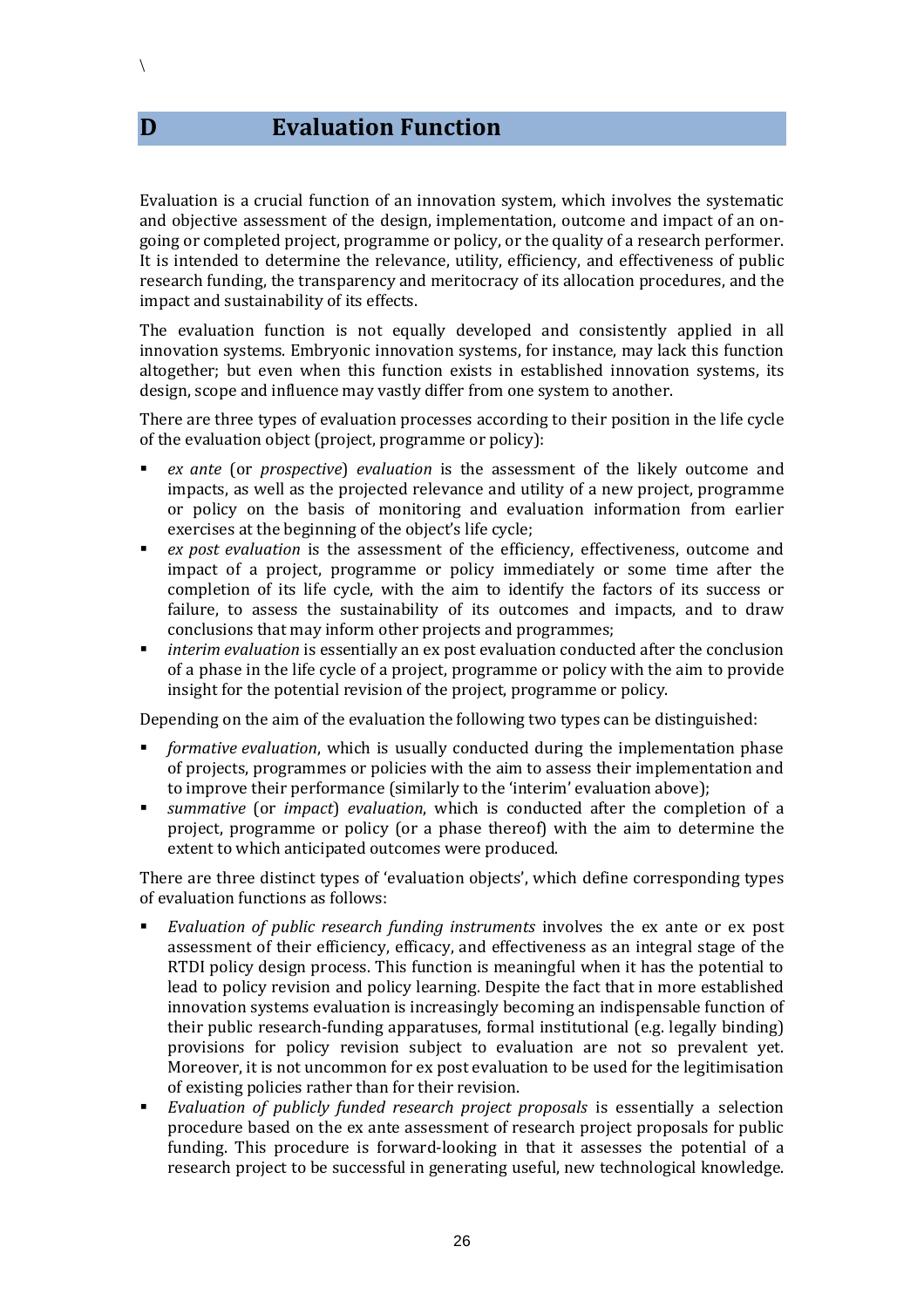**D Evaluation Function**

Evaluation is a crucial function of an innovation system, which involves the systematic and objective assessment of the design, implementation, outcome and impact of an ongoing or completed project, programme or policy, or the quality of a research performer. It is intended to determine the relevance, utility, efficiency, and effectiveness of public research funding, the transparency and meritocracy of its allocation procedures, and the impact and sustainability of its effects.

The evaluation function is not equally developed and consistently applied in all innovation systems. Embryonic innovation systems, for instance, may lack this function altogether; but even when this function exists in established innovation systems, its design, scope and influence may vastly differ from one system to another.

There are three types of evaluation processes according to their position in the life cycle of the evaluation object (project, programme or policy):

- *ex ante* (or *prospective*) *evaluation* is the assessment of the likely outcome and impacts, as well as the projected relevance and utility of a new project, programme or policy on the basis of monitoring and evaluation information from earlier exercises at the beginning of the object's life cycle;
- *ex post evaluation* is the assessment of the efficiency, effectiveness, outcome and impact of a project, programme or policy immediately or some time after the completion of its life cycle, with the aim to identify the factors of its success or failure, to assess the sustainability of its outcomes and impacts, and to draw conclusions that may inform other projects and programmes;
- *interim evaluation* is essentially an ex post evaluation conducted after the conclusion of a phase in the life cycle of a project, programme or policy with the aim to provide insight for the potential revision of the project, programme or policy.

Depending on the aim of the evaluation the following two types can be distinguished:

- *formative evaluation*, which is usually conducted during the implementation phase of projects, programmes or policies with the aim to assess their implementation and to improve their performance (similarly to the 'interim' evaluation above);
- *summative* (or *impact*) *evaluation*, which is conducted after the completion of a project, programme or policy (or a phase thereof) with the aim to determine the extent to which anticipated outcomes were produced.

There are three distinct types of 'evaluation objects', which define corresponding types of evaluation functions as follows:

- *Evaluation of public research funding instruments* involves the ex ante or ex post assessment of their efficiency, efficacy, and effectiveness as an integral stage of the RTDI policy design process. This function is meaningful when it has the potential to lead to policy revision and policy learning. Despite the fact that in more established innovation systems evaluation is increasingly becoming an indispensable function of their public research-funding apparatuses, formal institutional (e.g. legally binding) provisions for policy revision subject to evaluation are not so prevalent yet. Moreover, it is not uncommon for ex post evaluation to be used for the legitimisation of existing policies rather than for their revision.
- *Evaluation of publicly funded research project proposals* is essentially a selection procedure based on the ex ante assessment of research project proposals for public funding. This procedure is forward-looking in that it assesses the potential of a research project to be successful in generating useful, new technological knowledge.

 $\setminus$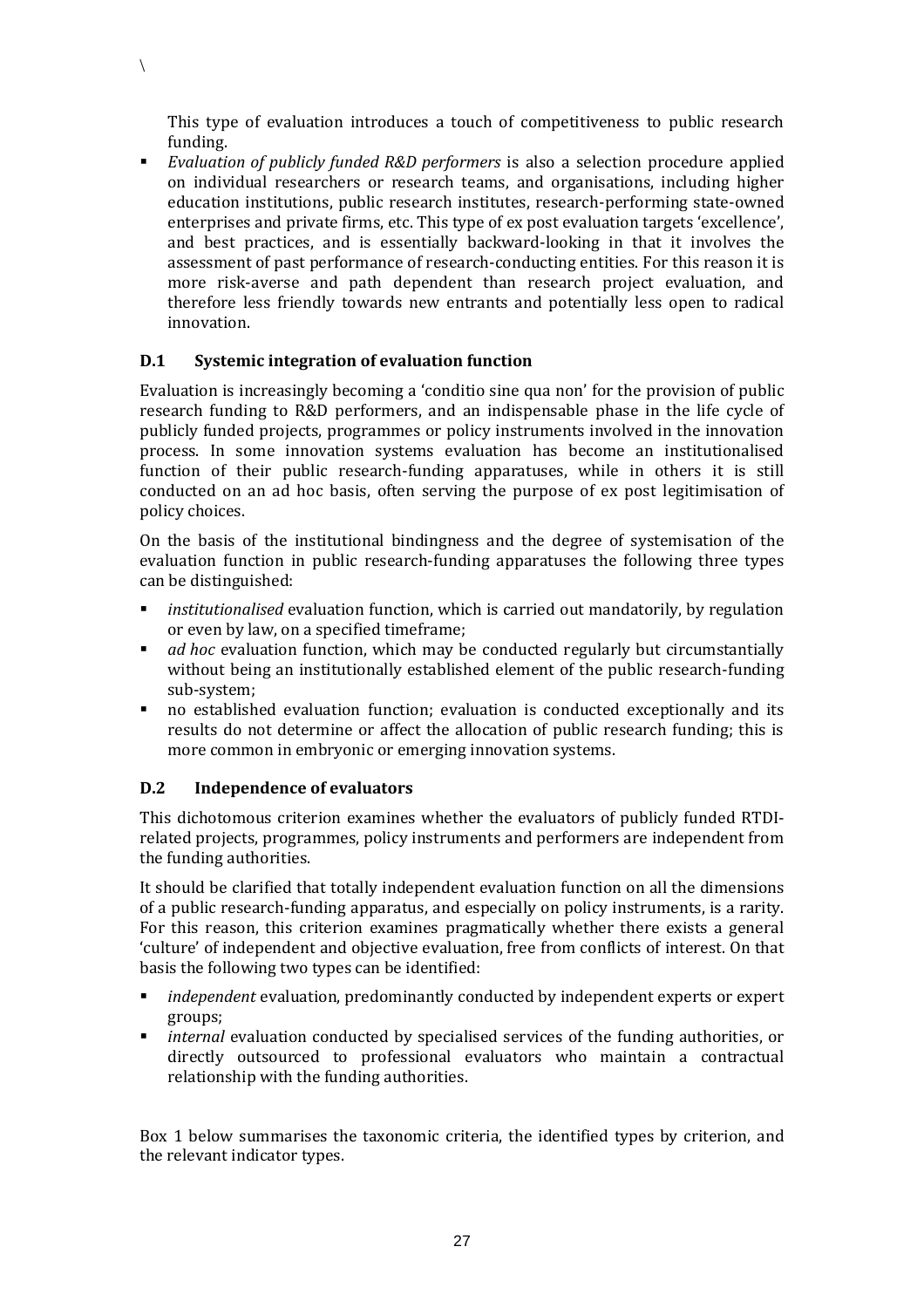This type of evaluation introduces a touch of competitiveness to public research funding.

 *Evaluation of publicly funded R&D performers* is also a selection procedure applied on individual researchers or research teams, and organisations, including higher education institutions, public research institutes, research-performing state-owned enterprises and private firms, etc. This type of ex post evaluation targets 'excellence', and best practices, and is essentially backward-looking in that it involves the assessment of past performance of research-conducting entities. For this reason it is more risk-averse and path dependent than research project evaluation, and therefore less friendly towards new entrants and potentially less open to radical innovation.

#### **D.1 Systemic integration of evaluation function**

 $\setminus$ 

Evaluation is increasingly becoming a 'conditio sine qua non' for the provision of public research funding to R&D performers, and an indispensable phase in the life cycle of publicly funded projects, programmes or policy instruments involved in the innovation process. In some innovation systems evaluation has become an institutionalised function of their public research-funding apparatuses, while in others it is still conducted on an ad hoc basis, often serving the purpose of ex post legitimisation of policy choices.

On the basis of the institutional bindingness and the degree of systemisation of the evaluation function in public research-funding apparatuses the following three types can be distinguished:

- *institutionalised* evaluation function, which is carried out mandatorily, by regulation or even by law, on a specified timeframe;
- *ad hoc* evaluation function, which may be conducted regularly but circumstantially without being an institutionally established element of the public research-funding sub-system;
- no established evaluation function; evaluation is conducted exceptionally and its results do not determine or affect the allocation of public research funding; this is more common in embryonic or emerging innovation systems.

#### **D.2 Independence of evaluators**

This dichotomous criterion examines whether the evaluators of publicly funded RTDIrelated projects, programmes, policy instruments and performers are independent from the funding authorities.

It should be clarified that totally independent evaluation function on all the dimensions of a public research-funding apparatus, and especially on policy instruments, is a rarity. For this reason, this criterion examines pragmatically whether there exists a general 'culture' of independent and objective evaluation, free from conflicts of interest. On that basis the following two types can be identified:

- *independent* evaluation, predominantly conducted by independent experts or expert groups;
- *internal* evaluation conducted by specialised services of the funding authorities, or directly outsourced to professional evaluators who maintain a contractual relationship with the funding authorities.

Box 1 below summarises the taxonomic criteria, the identified types by criterion, and the relevant indicator types.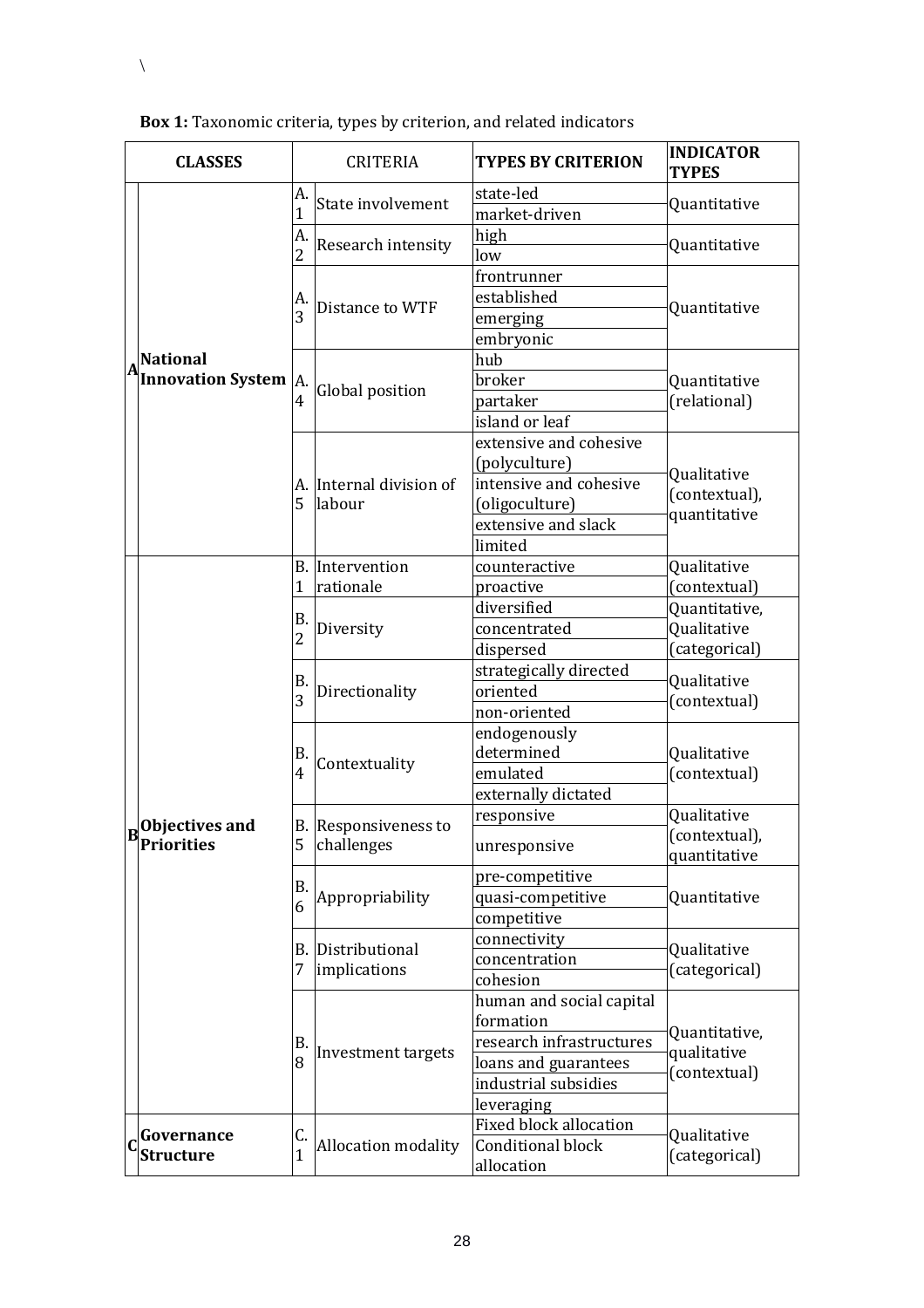| <b>CLASSES</b> |                                                |                                    | <b>CRITERIA</b>                          | <b>TYPES BY CRITERION</b>                                                                                                       | <b>INDICATOR</b><br><b>TYPES</b>              |
|----------------|------------------------------------------------|------------------------------------|------------------------------------------|---------------------------------------------------------------------------------------------------------------------------------|-----------------------------------------------|
|                |                                                | A.<br>State involvement<br>1<br>A. |                                          | state-led<br>market-driven                                                                                                      | Quantitative                                  |
|                |                                                |                                    | Research intensity                       | high<br>low                                                                                                                     | Quantitative                                  |
|                |                                                | A.<br>3                            | Distance to WTF                          | frontrunner<br>established<br>emerging<br>embryonic                                                                             | Quantitative                                  |
|                | <b>National</b><br><b>Innovation System A.</b> |                                    | Global position                          | hub<br>broker<br>partaker<br>island or leaf                                                                                     | Quantitative<br>(relational)                  |
|                |                                                | 5                                  | A. Internal division of<br>labour        | extensive and cohesive<br>(polyculture)<br>intensive and cohesive<br>(oligoculture)<br>extensive and slack<br>limited           | Qualitative<br>(contextual),<br>quantitative  |
|                |                                                | 1                                  | <b>B.</b> Intervention<br>rationale      | counteractive<br>proactive                                                                                                      | Qualitative<br>(contextual)                   |
|                | Objectives and<br><b>Priorities</b>            | В.<br>$\overline{2}$               | Diversity                                | diversified<br>concentrated<br>dispersed                                                                                        | Quantitative,<br>Qualitative<br>(categorical) |
|                |                                                | Β.<br>Directionality<br>3          |                                          | strategically directed<br>oriented<br>non-oriented                                                                              | Qualitative<br>(contextual)                   |
|                |                                                | B.<br>4                            | Contextuality                            | endogenously<br>determined<br>emulated<br>externally dictated                                                                   | Qualitative<br>(contextual)                   |
|                |                                                | 5                                  | B. Responsiveness to<br>challenges       | responsive<br>unresponsive                                                                                                      | Qualitative<br>(contextual),<br>quantitative  |
|                |                                                | B.<br>6                            | Appropriability                          | pre-competitive<br>quasi-competitive<br>competitive                                                                             | Quantitative                                  |
|                |                                                | 7                                  | <b>B.</b> Distributional<br>implications | connectivity<br>concentration<br>cohesion                                                                                       | Qualitative<br>(categorical)                  |
|                |                                                | В.<br>Investment targets<br>8      |                                          | human and social capital<br>formation<br>research infrastructures<br>loans and guarantees<br>industrial subsidies<br>leveraging | Quantitative,<br>qualitative<br>(contextual)  |
|                | Governance<br><b>Structure</b>                 | C.<br>1                            | Allocation modality                      | <b>Fixed block allocation</b><br>Conditional block<br>allocation                                                                | Qualitative<br>(categorical)                  |

**Box 1:** Taxonomic criteria, types by criterion, and related indicators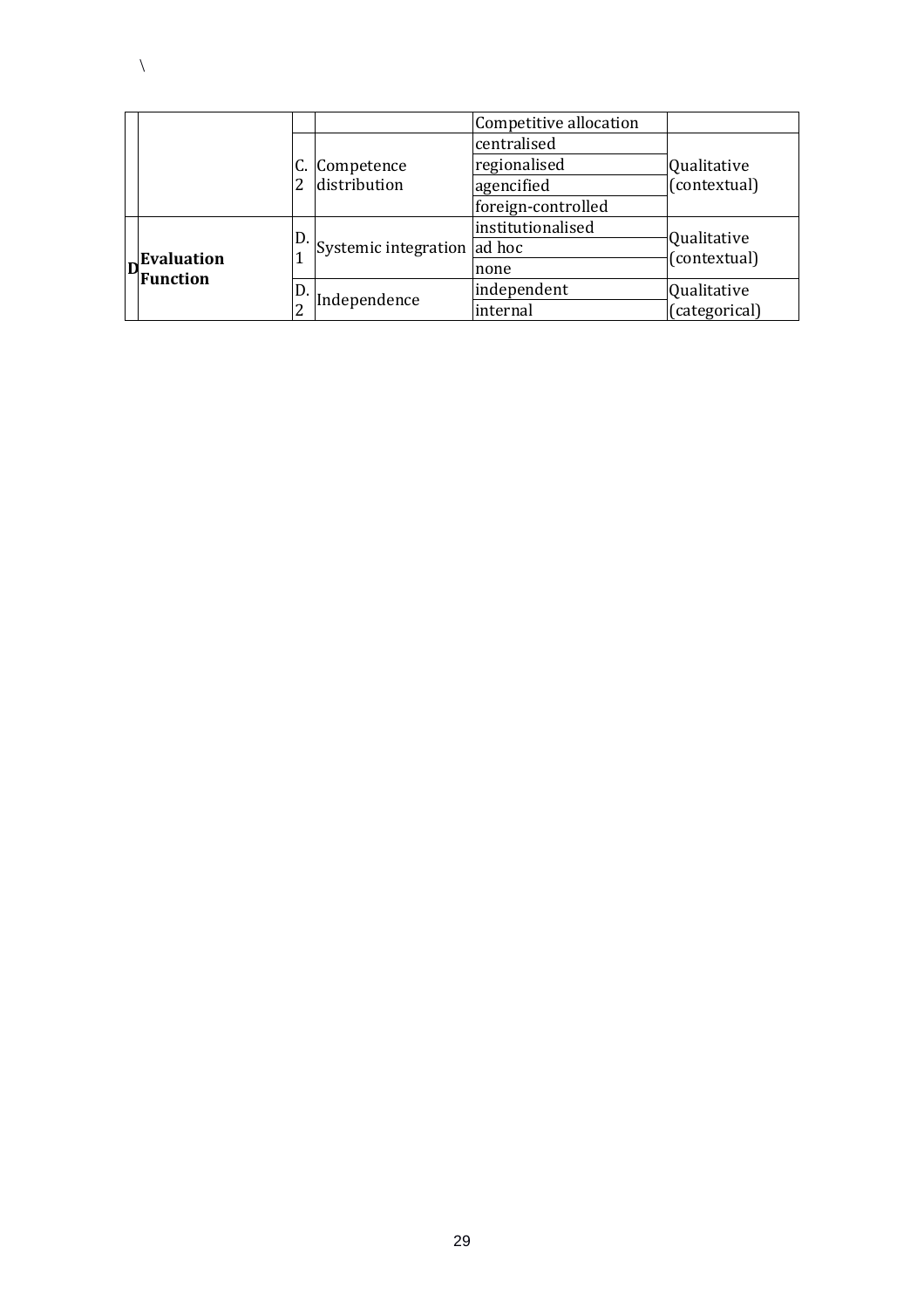|  |            |    |                             | Competitive allocation |                             |  |
|--|------------|----|-----------------------------|------------------------|-----------------------------|--|
|  |            |    |                             | centralised            |                             |  |
|  |            |    | C. Competence               | regionalised           | Qualitative                 |  |
|  |            |    | distribution                | agencified             | (contextual)                |  |
|  |            |    |                             | foreign-controlled     |                             |  |
|  |            |    |                             | institutionalised      |                             |  |
|  | Evaluation | D. | Systemic integration ad hoc |                        | Qualitative<br>(contextual) |  |
|  | Function   |    |                             | none                   |                             |  |
|  |            | D. |                             | independent            | Qualitative                 |  |
|  |            |    | Independence                | internal               | (categorical)               |  |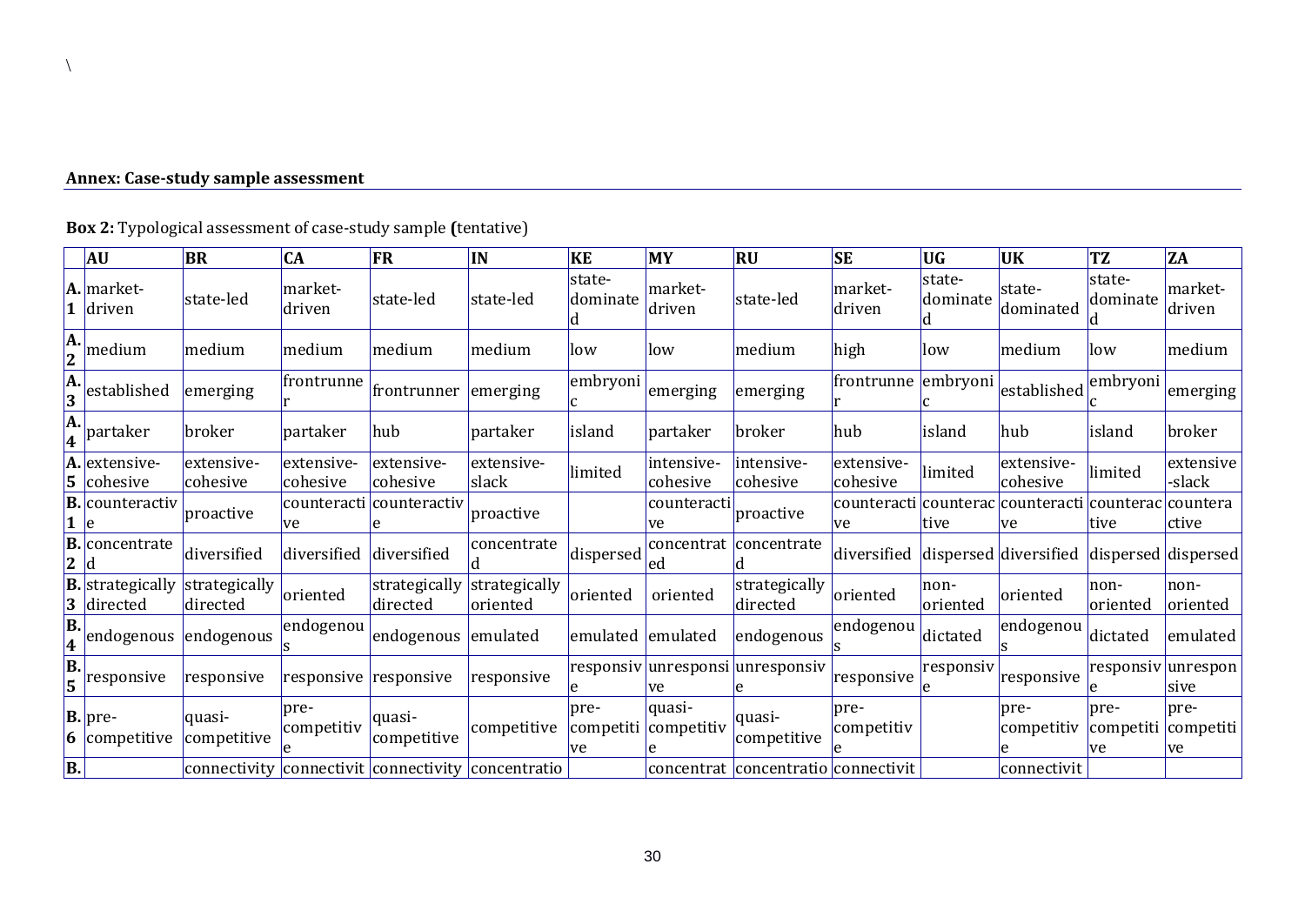## **Annex: Case-study sample assessment**

 $\setminus$ 

|                                | <b>AU</b>                  | <b>BR</b>                 | CA                     | <b>FR</b>                                          | IN                        | KE                 | MY                             | <b>RU</b>                           | <b>SE</b>              | <b>UG</b>                | <b>UK</b>              | <b>TZ</b>                                | <b>ZA</b>                          |
|--------------------------------|----------------------------|---------------------------|------------------------|----------------------------------------------------|---------------------------|--------------------|--------------------------------|-------------------------------------|------------------------|--------------------------|------------------------|------------------------------------------|------------------------------------|
|                                | A. market-<br>driven       | state-led                 | market-<br>driven      | state-led                                          | state-led                 | state-<br>dominate | market-<br>driven              | state-led                           | market-<br>driven      | state-<br>dominate       | state-<br>dominated    | state-<br>dominate                       | market-<br>driven                  |
| A.<br>$\overline{2}$           | medium                     | medium                    | medium                 | medium                                             | medium                    | low                | llow                           | medium                              | high                   | llow                     | medium                 | low                                      | medium                             |
| A.<br>3                        | established                | emerging                  | frontrunne             | frontrunner                                        | emerging                  | embryoni           | emerging                       | emerging                            | frontrunne             | embryoni                 | established            | embryoni                                 | emerging                           |
| A.<br>4                        | partaker                   | broker                    | partaker               | hub!                                               | partaker                  | island             | partaker                       | broker                              | hub                    | island                   | hub                    | <b>lisland</b>                           | broker                             |
| A.<br>5.                       | extensive-<br>cohesive     | extensive-<br>cohesive    | extensive-<br>cohesive | extensive-<br>cohesive                             | extensive-<br>slack       | limited            | intensive-<br>cohesive         | intensive-<br>cohesive              | extensive-<br>cohesive | limited                  | extensive-<br>cohesive | limited                                  | extensive<br>-slack                |
| B.                             | counteractiv               | proactive                 | ve                     | counteracti counteractiv                           | proactive                 |                    | counteracti<br>ve              | proactive                           | counteracti<br>ve      | <b>counterac</b><br>tive | counteracti<br>ve      | counterac<br><b>ltive</b>                | countera<br> ctive                 |
| B.<br>2                        | concentrate                | diversified               | diversified            | diversified                                        | concentrate               | dispersed          | concentrat<br>led              | concentrate                         | diversified            |                          | dispersed diversified  |                                          | dispersed dispersed                |
| <b>B.</b><br>3                 | strategically<br>directed  | strategically<br>directed | oriented               | strategically<br>directed                          | strategically<br>oriented | oriented           | oriented                       | strategically<br>directed           | oriented               | non-<br>oriented         | oriented               | non-<br> oriented                        | non-<br>oriented                   |
| B.<br>$\overline{\textbf{4}}$  | endogenous endogenous      |                           | endogenou              | endogenous                                         | emulated                  | emulated emulated  |                                | endogenous                          | endogenou              | dictated                 | endogenou              | dictated                                 | emulated                           |
| $\overline{\mathbf{B}}$ .<br>5 | responsive                 | responsive                | responsive responsive  |                                                    | responsive                |                    | <b>ve</b>                      | responsiv unresponsi unresponsiv    | responsive             | responsiv                | responsive             |                                          | responsiv  unrespon<br><b>Sive</b> |
| 6                              | $ B. $ pre-<br>competitive | quasi-<br>competitive     | pre-<br>competitiv     | lquasi-<br>competitive                             | competitive               | pre-<br>ve         | quasi-<br>competiti competitiv | quasi-<br>competitive               | pre-<br>competitiv     |                          | pre-<br>competitiv     | pre-<br>competiti competiti<br><b>ve</b> | pre-<br><b>ve</b>                  |
| B.                             |                            |                           |                        | connectivity connectivit connectivity concentratio |                           |                    |                                | concentrat concentratio connectivit |                        |                          | connectivit            |                                          |                                    |

**Box 2:** Typological assessment of case-study sample **(**tentative)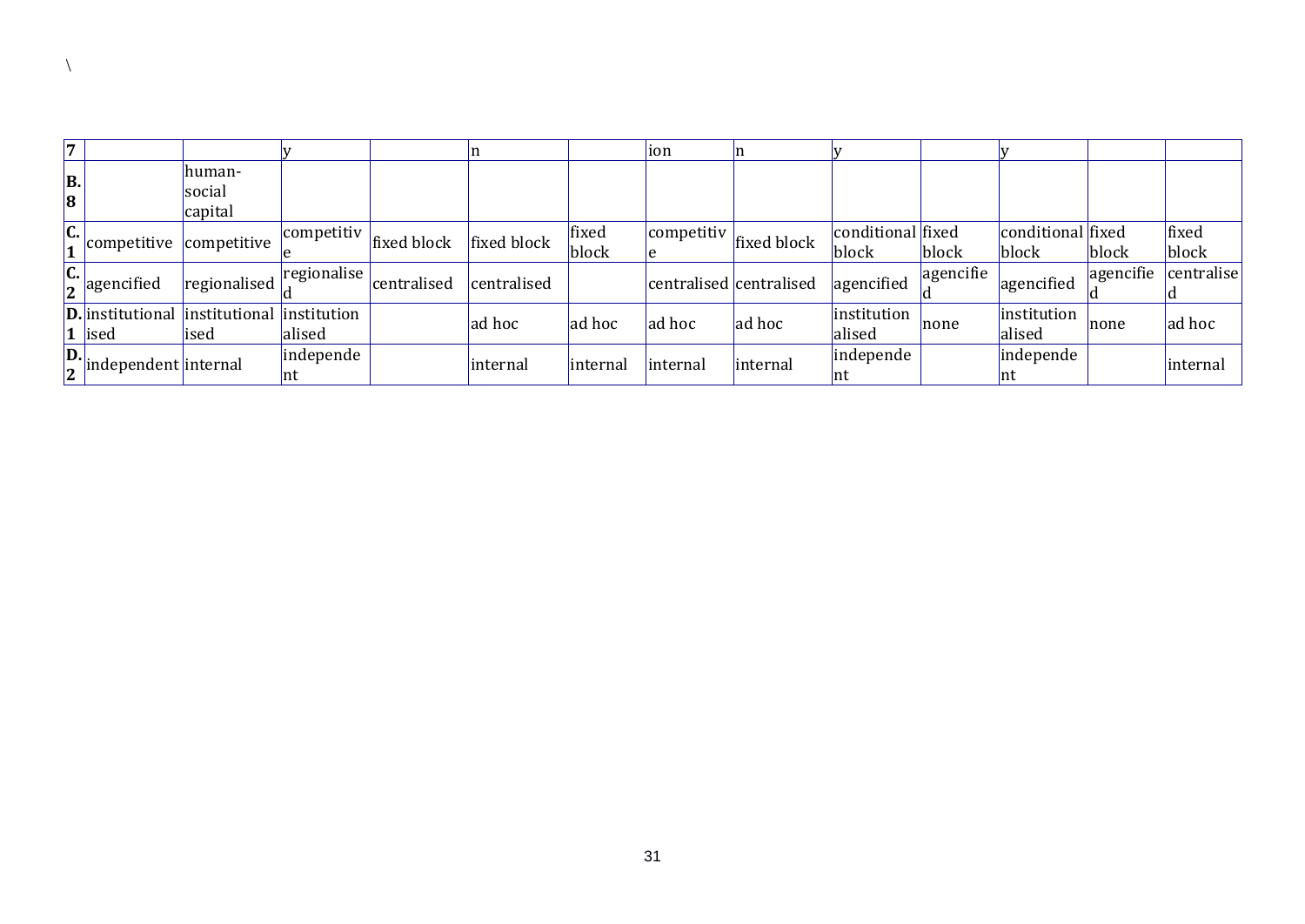| l.      |                                                                      |                              |                  |             |             |                | lion                    |             |                            |           |                            |           |                |
|---------|----------------------------------------------------------------------|------------------------------|------------------|-------------|-------------|----------------|-------------------------|-------------|----------------------------|-----------|----------------------------|-----------|----------------|
| B.<br>8 |                                                                      | lhuman-<br>social<br>capital |                  |             |             |                |                         |             |                            |           |                            |           |                |
| C.      | competitive competitive                                              |                              | competitiv       | fixed block | fixed block | fixed<br>block | competitiv              | fixed block | conditional fixed<br>block | block     | conditional fixed<br>block | block     | fixed<br>block |
|         | $\left  \begin{array}{c} c \\ 2 \end{array} \right $ agencified      | regionalised                 | regionalise      | centralised | centralised |                | centralised centralised |             | agencified                 | agencifie | agencified                 | agencifie | centralise     |
|         | <b>D.</b> institutional institutional institution<br>$\vert$ 1  ised | lised                        | alised           |             | ad hoc      | ad hoc         | ad hoc                  | ad hoc      | institution<br>alised      | none      | institution<br>alised      | Inone     | ad hoc         |
|         | $\boxed{\frac{\mathbf{D}}{\mathbf{2}}}$ independent internal         |                              | independe<br> nt |             | linternal   | linternal      | <i>internal</i>         | internal    | independe<br>Int           |           | independe<br>Int           |           | internal       |

 $\setminus$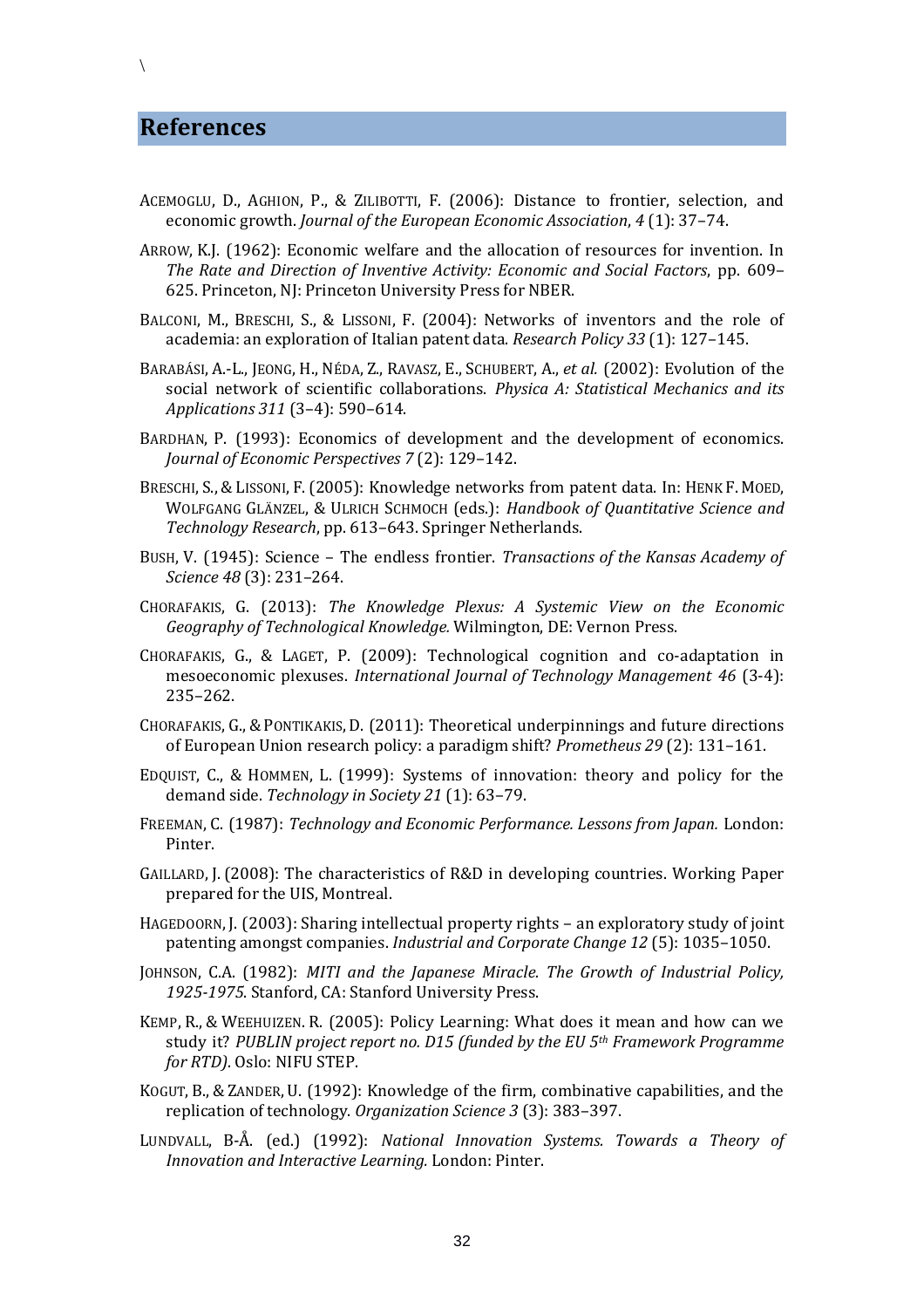#### **References**

- ACEMOGLU, D., AGHION, P., & ZILIBOTTI, F. (2006): Distance to frontier, selection, and economic growth. *Journal of the European Economic Association*, *4* (1): 37–74.
- ARROW, K.J. (1962): Economic welfare and the allocation of resources for invention. In *The Rate and Direction of Inventive Activity: Economic and Social Factors*, pp. 609– 625. Princeton, NJ: Princeton University Press for NBER.
- BALCONI, M., BRESCHI, S., & LISSONI, F. (2004): Networks of inventors and the role of academia: an exploration of Italian patent data. *Research Policy 33* (1): 127–145.
- BARABÁSI, A.-L., JEONG, H., NÉDA, Z., RAVASZ, E., SCHUBERT, A., *et al.* (2002): Evolution of the social network of scientific collaborations. *Physica A: Statistical Mechanics and its Applications 311* (3–4): 590–614.
- BARDHAN, P. (1993): Economics of development and the development of economics. *Journal of Economic Perspectives 7* (2): 129–142.
- BRESCHI, S., &LISSONI, F.(2005): Knowledge networks from patent data. In: HENK F. MOED, WOLFGANG GLÄNZEL, & ULRICH SCHMOCH (eds.): *Handbook of Quantitative Science and Technology Research*, pp. 613–643. Springer Netherlands.
- BUSH, V. (1945): Science The endless frontier. *Transactions of the Kansas Academy of Science 48* (3): 231–264.
- CHORAFAKIS, G. (2013): *The Knowledge Plexus: A Systemic View on the Economic Geography of Technological Knowledge.* Wilmington, DE: Vernon Press.
- CHORAFAKIS, G., & LAGET, P. (2009): Technological cognition and co-adaptation in mesoeconomic plexuses. *International Journal of Technology Management 46* (3-4): 235–262.
- CHORAFAKIS, G., &PONTIKAKIS, D. (2011): Theoretical underpinnings and future directions of European Union research policy: a paradigm shift? *Prometheus 29* (2): 131–161.
- EDQUIST, C., & HOMMEN, L. (1999): Systems of innovation: theory and policy for the demand side. *Technology in Society 21* (1): 63–79.
- FREEMAN, C. (1987): *Technology and Economic Performance. Lessons from Japan.* London: Pinter.
- GAILLARD, J. (2008): The characteristics of R&D in developing countries. Working Paper prepared for the UIS, Montreal.
- HAGEDOORN, J. (2003): Sharing intellectual property rights an exploratory study of joint patenting amongst companies. *Industrial and Corporate Change 12* (5): 1035–1050.
- JOHNSON, C.A. (1982): *MITI and the Japanese Miracle. The Growth of Industrial Policy, 1925-1975*. Stanford, CA: Stanford University Press.
- KEMP, R., & WEEHUIZEN. R. (2005): Policy Learning: What does it mean and how can we study it? *PUBLIN project report no. D15 (funded by the EU 5th Framework Programme for RTD)*. Oslo: NIFU STEP.
- KOGUT, B., & ZANDER, U. (1992): Knowledge of the firm, combinative capabilities, and the replication of technology. *Organization Science 3* (3): 383–397.
- LUNDVALL, B-Å. (ed.) (1992): *National Innovation Systems. Towards a Theory of Innovation and Interactive Learning.* London: Pinter.

 $\setminus$